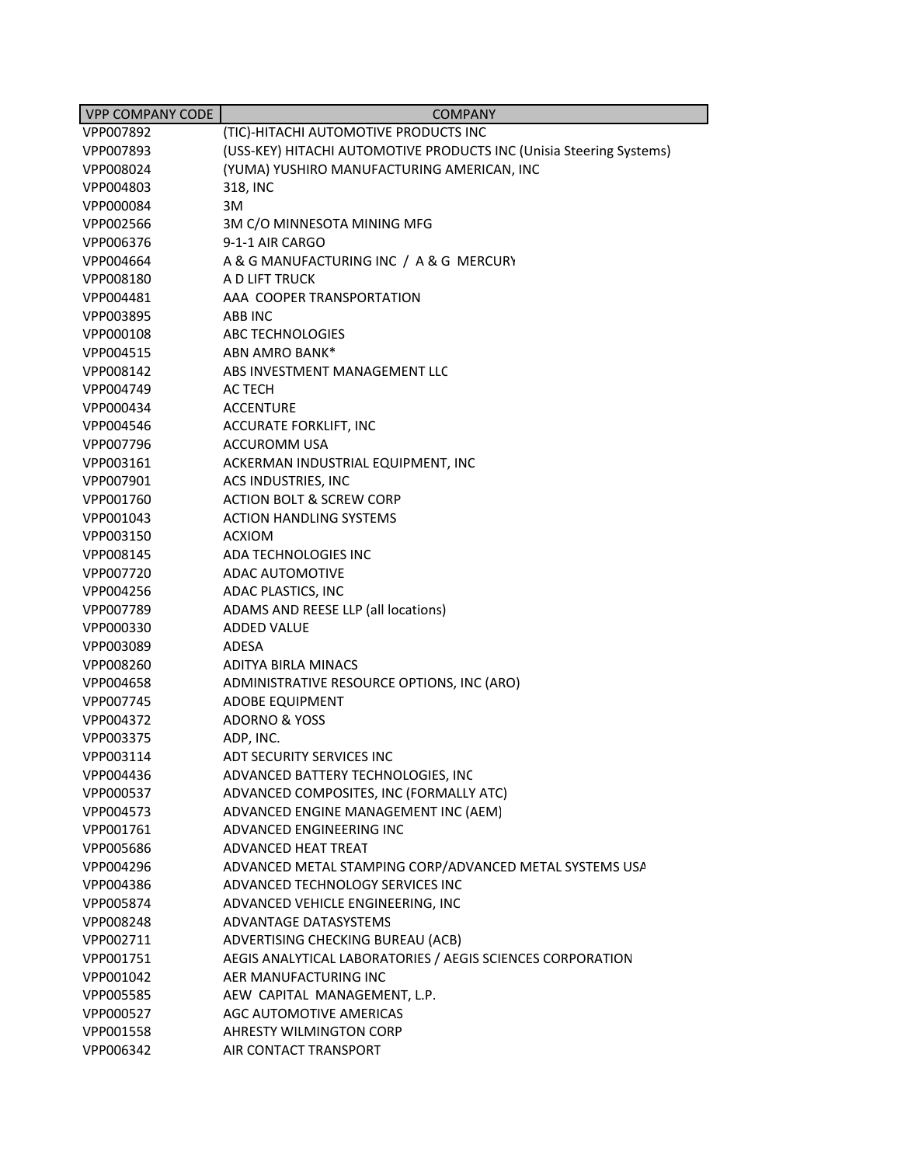| <b>VPP COMPANY CODE</b> | <b>COMPANY</b>                                                      |
|-------------------------|---------------------------------------------------------------------|
| VPP007892               | (TIC)-HITACHI AUTOMOTIVE PRODUCTS INC                               |
| VPP007893               | (USS-KEY) HITACHI AUTOMOTIVE PRODUCTS INC (Unisia Steering Systems) |
| VPP008024               | (YUMA) YUSHIRO MANUFACTURING AMERICAN, INC                          |
| VPP004803               | 318, INC                                                            |
| VPP000084               | 3M                                                                  |
| VPP002566               | 3M C/O MINNESOTA MINING MFG                                         |
| VPP006376               | 9-1-1 AIR CARGO                                                     |
| VPP004664               | A & G MANUFACTURING INC / A & G MERCURY                             |
| VPP008180               | A D LIFT TRUCK                                                      |
| VPP004481               | AAA COOPER TRANSPORTATION                                           |
| VPP003895               | ABB INC                                                             |
| VPP000108               | ABC TECHNOLOGIES                                                    |
| VPP004515               | ABN AMRO BANK*                                                      |
| VPP008142               | ABS INVESTMENT MANAGEMENT LLC                                       |
| VPP004749               | AC TECH                                                             |
| VPP000434               | <b>ACCENTURE</b>                                                    |
| VPP004546               | <b>ACCURATE FORKLIFT, INC</b>                                       |
| VPP007796               | <b>ACCUROMM USA</b>                                                 |
| VPP003161               | ACKERMAN INDUSTRIAL EQUIPMENT, INC                                  |
| VPP007901               | ACS INDUSTRIES, INC                                                 |
| VPP001760               | <b>ACTION BOLT &amp; SCREW CORP</b>                                 |
| VPP001043               | <b>ACTION HANDLING SYSTEMS</b>                                      |
| VPP003150               | <b>ACXIOM</b>                                                       |
| VPP008145               | ADA TECHNOLOGIES INC                                                |
| VPP007720               | <b>ADAC AUTOMOTIVE</b>                                              |
| VPP004256               | ADAC PLASTICS, INC                                                  |
| VPP007789               | ADAMS AND REESE LLP (all locations)                                 |
| VPP000330               | <b>ADDED VALUE</b>                                                  |
| VPP003089               | ADESA                                                               |
| VPP008260               | ADITYA BIRLA MINACS                                                 |
| VPP004658               | ADMINISTRATIVE RESOURCE OPTIONS, INC (ARO)                          |
| VPP007745               | <b>ADOBE EQUIPMENT</b><br><b>ADORNO &amp; YOSS</b>                  |
| VPP004372<br>VPP003375  |                                                                     |
| VPP003114               | ADP, INC.<br>ADT SECURITY SERVICES INC                              |
| VPP004436               | ADVANCED BATTERY TECHNOLOGIES, INC                                  |
| VPP000537               | ADVANCED COMPOSITES, INC (FORMALLY ATC)                             |
| VPP004573               | ADVANCED ENGINE MANAGEMENT INC (AEM)                                |
| VPP001761               | ADVANCED ENGINEERING INC                                            |
| VPP005686               | ADVANCED HEAT TREAT                                                 |
| VPP004296               | ADVANCED METAL STAMPING CORP/ADVANCED METAL SYSTEMS USA             |
| VPP004386               | ADVANCED TECHNOLOGY SERVICES INC                                    |
| VPP005874               | ADVANCED VEHICLE ENGINEERING, INC                                   |
| VPP008248               | ADVANTAGE DATASYSTEMS                                               |
| VPP002711               | ADVERTISING CHECKING BUREAU (ACB)                                   |
| VPP001751               | AEGIS ANALYTICAL LABORATORIES / AEGIS SCIENCES CORPORATION          |
| VPP001042               | AER MANUFACTURING INC                                               |
| VPP005585               | AEW CAPITAL MANAGEMENT, L.P.                                        |
| VPP000527               | AGC AUTOMOTIVE AMERICAS                                             |
| VPP001558               | AHRESTY WILMINGTON CORP                                             |
| VPP006342               | AIR CONTACT TRANSPORT                                               |
|                         |                                                                     |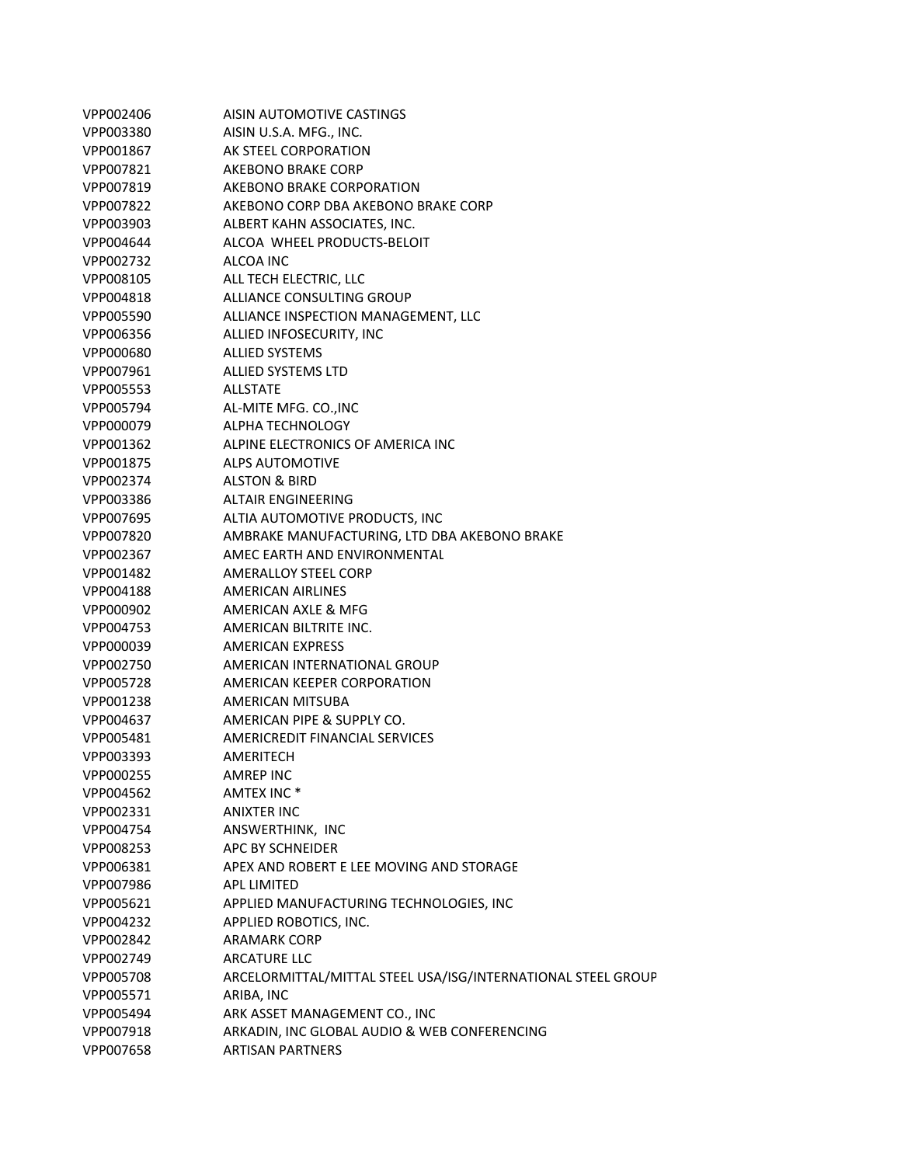| VPP002406 | AISIN AUTOMOTIVE CASTINGS                                    |
|-----------|--------------------------------------------------------------|
| VPP003380 | AISIN U.S.A. MFG., INC.                                      |
| VPP001867 | AK STEEL CORPORATION                                         |
| VPP007821 | AKEBONO BRAKE CORP                                           |
| VPP007819 | AKEBONO BRAKE CORPORATION                                    |
| VPP007822 | AKEBONO CORP DBA AKEBONO BRAKE CORP                          |
| VPP003903 | ALBERT KAHN ASSOCIATES, INC.                                 |
| VPP004644 | ALCOA WHEEL PRODUCTS-BELOIT                                  |
| VPP002732 | ALCOA INC                                                    |
| VPP008105 | ALL TECH ELECTRIC, LLC                                       |
| VPP004818 | ALLIANCE CONSULTING GROUP                                    |
| VPP005590 | ALLIANCE INSPECTION MANAGEMENT, LLC                          |
| VPP006356 | ALLIED INFOSECURITY, INC                                     |
| VPP000680 | <b>ALLIED SYSTEMS</b>                                        |
| VPP007961 | ALLIED SYSTEMS LTD                                           |
| VPP005553 | ALLSTATE                                                     |
| VPP005794 | AL-MITE MFG. CO., INC                                        |
| VPP000079 | ALPHA TECHNOLOGY                                             |
| VPP001362 | ALPINE ELECTRONICS OF AMERICA INC                            |
| VPP001875 | <b>ALPS AUTOMOTIVE</b>                                       |
| VPP002374 | <b>ALSTON &amp; BIRD</b>                                     |
| VPP003386 | <b>ALTAIR ENGINEERING</b>                                    |
| VPP007695 | ALTIA AUTOMOTIVE PRODUCTS, INC                               |
| VPP007820 | AMBRAKE MANUFACTURING, LTD DBA AKEBONO BRAKE                 |
| VPP002367 | AMEC EARTH AND ENVIRONMENTAL                                 |
| VPP001482 | <b>AMERALLOY STEEL CORP</b>                                  |
| VPP004188 | <b>AMERICAN AIRLINES</b>                                     |
| VPP000902 | AMERICAN AXLE & MFG                                          |
| VPP004753 | AMERICAN BILTRITE INC.                                       |
| VPP000039 | <b>AMERICAN EXPRESS</b>                                      |
| VPP002750 | AMERICAN INTERNATIONAL GROUP                                 |
| VPP005728 | AMERICAN KEEPER CORPORATION                                  |
| VPP001238 | AMERICAN MITSUBA                                             |
| VPP004637 | AMERICAN PIPE & SUPPLY CO.                                   |
| VPP005481 | AMERICREDIT FINANCIAL SERVICES                               |
| VPP003393 | AMERITECH                                                    |
| VPP000255 | <b>AMREP INC</b>                                             |
| VPP004562 | AMTEX INC <sup>*</sup>                                       |
| VPP002331 | <b>ANIXTER INC</b>                                           |
| VPP004754 | ANSWERTHINK, INC                                             |
| VPP008253 | APC BY SCHNEIDER                                             |
| VPP006381 | APEX AND ROBERT E LEE MOVING AND STORAGE                     |
| VPP007986 | <b>APL LIMITED</b>                                           |
| VPP005621 | APPLIED MANUFACTURING TECHNOLOGIES, INC                      |
| VPP004232 | APPLIED ROBOTICS, INC.                                       |
| VPP002842 | <b>ARAMARK CORP</b>                                          |
| VPP002749 | <b>ARCATURE LLC</b>                                          |
| VPP005708 | ARCELORMITTAL/MITTAL STEEL USA/ISG/INTERNATIONAL STEEL GROUP |
| VPP005571 | ARIBA, INC                                                   |
| VPP005494 | ARK ASSET MANAGEMENT CO., INC                                |
| VPP007918 | ARKADIN, INC GLOBAL AUDIO & WEB CONFERENCING                 |
| VPP007658 | <b>ARTISAN PARTNERS</b>                                      |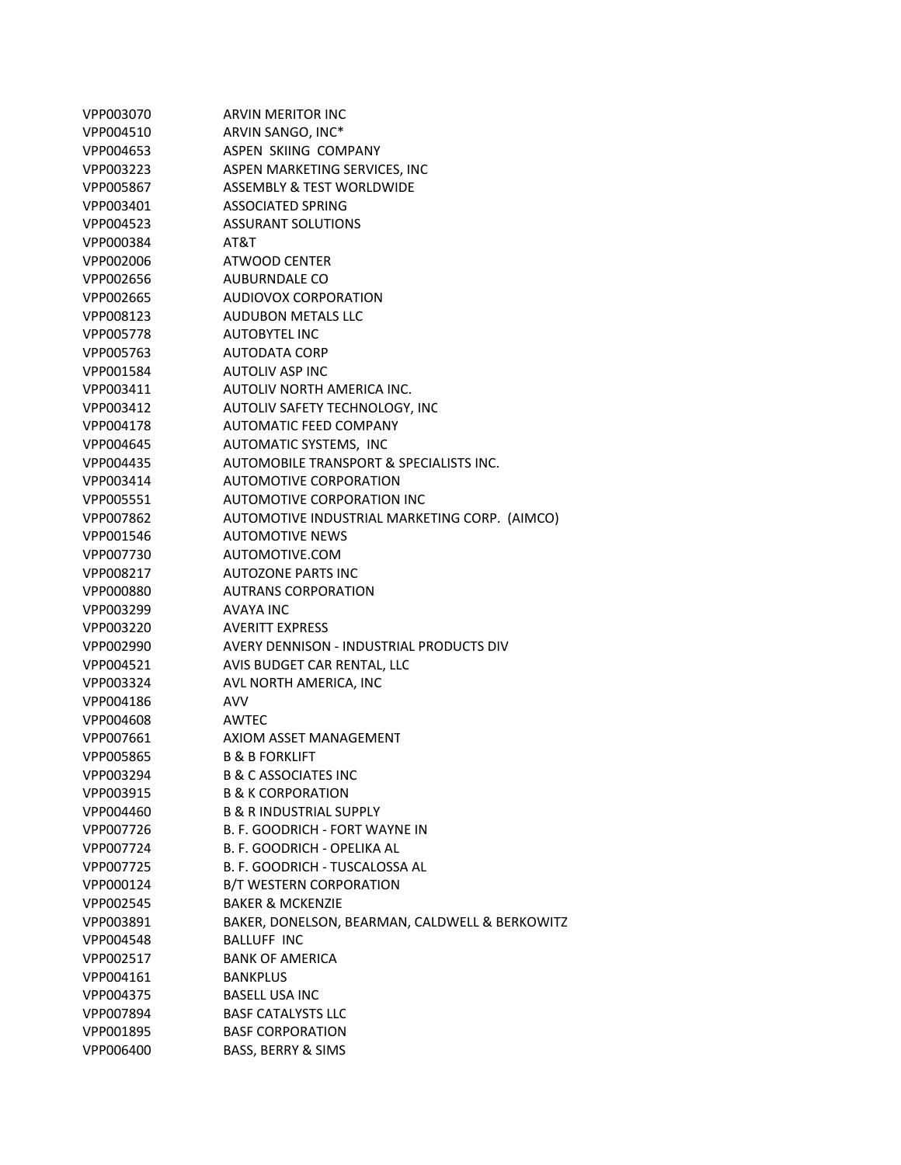|           | <b>ARVIN MERITOR INC</b>                       |
|-----------|------------------------------------------------|
| VPP003070 |                                                |
| VPP004510 | ARVIN SANGO, INC*                              |
| VPP004653 | ASPEN SKIING COMPANY                           |
| VPP003223 | ASPEN MARKETING SERVICES, INC                  |
| VPP005867 | <b>ASSEMBLY &amp; TEST WORLDWIDE</b>           |
| VPP003401 | <b>ASSOCIATED SPRING</b>                       |
| VPP004523 | <b>ASSURANT SOLUTIONS</b>                      |
| VPP000384 | AT&T                                           |
| VPP002006 | <b>ATWOOD CENTER</b>                           |
| VPP002656 | AUBURNDALE CO                                  |
| VPP002665 | AUDIOVOX CORPORATION                           |
| VPP008123 | <b>AUDUBON METALS LLC</b>                      |
| VPP005778 | <b>AUTOBYTEL INC</b>                           |
| VPP005763 | AUTODATA CORP                                  |
| VPP001584 | <b>AUTOLIV ASP INC</b>                         |
| VPP003411 | AUTOLIV NORTH AMERICA INC.                     |
| VPP003412 | AUTOLIV SAFETY TECHNOLOGY, INC                 |
| VPP004178 | <b>AUTOMATIC FEED COMPANY</b>                  |
| VPP004645 | AUTOMATIC SYSTEMS, INC                         |
| VPP004435 | AUTOMOBILE TRANSPORT & SPECIALISTS INC.        |
| VPP003414 | AUTOMOTIVE CORPORATION                         |
| VPP005551 | AUTOMOTIVE CORPORATION INC                     |
| VPP007862 | AUTOMOTIVE INDUSTRIAL MARKETING CORP. (AIMCO)  |
| VPP001546 | <b>AUTOMOTIVE NEWS</b>                         |
| VPP007730 | AUTOMOTIVE.COM                                 |
| VPP008217 | <b>AUTOZONE PARTS INC</b>                      |
| VPP000880 | <b>AUTRANS CORPORATION</b>                     |
| VPP003299 | AVAYA INC                                      |
| VPP003220 | <b>AVERITT EXPRESS</b>                         |
| VPP002990 | AVERY DENNISON - INDUSTRIAL PRODUCTS DIV       |
| VPP004521 | AVIS BUDGET CAR RENTAL, LLC                    |
| VPP003324 | AVL NORTH AMERICA, INC                         |
| VPP004186 | <b>AVV</b>                                     |
| VPP004608 | AWTEC                                          |
| VPP007661 | AXIOM ASSET MANAGEMENT                         |
| VPP005865 | <b>B &amp; B FORKLIFT</b>                      |
| VPP003294 | <b>B &amp; C ASSOCIATES INC</b>                |
| VPP003915 | <b>B &amp; K CORPORATION</b>                   |
| VPP004460 | <b>B &amp; R INDUSTRIAL SUPPLY</b>             |
| VPP007726 | B. F. GOODRICH - FORT WAYNE IN                 |
| VPP007724 | B. F. GOODRICH - OPELIKA AL                    |
| VPP007725 | B. F. GOODRICH - TUSCALOSSA AL                 |
| VPP000124 | <b>B/T WESTERN CORPORATION</b>                 |
| VPP002545 | <b>BAKER &amp; MCKENZIE</b>                    |
| VPP003891 | BAKER, DONELSON, BEARMAN, CALDWELL & BERKOWITZ |
| VPP004548 | <b>BALLUFF INC</b>                             |
| VPP002517 | <b>BANK OF AMERICA</b>                         |
| VPP004161 | <b>BANKPLUS</b>                                |
| VPP004375 | <b>BASELL USA INC</b>                          |
| VPP007894 | <b>BASF CATALYSTS LLC</b>                      |
| VPP001895 | <b>BASF CORPORATION</b>                        |
| VPP006400 |                                                |
|           | BASS, BERRY & SIMS                             |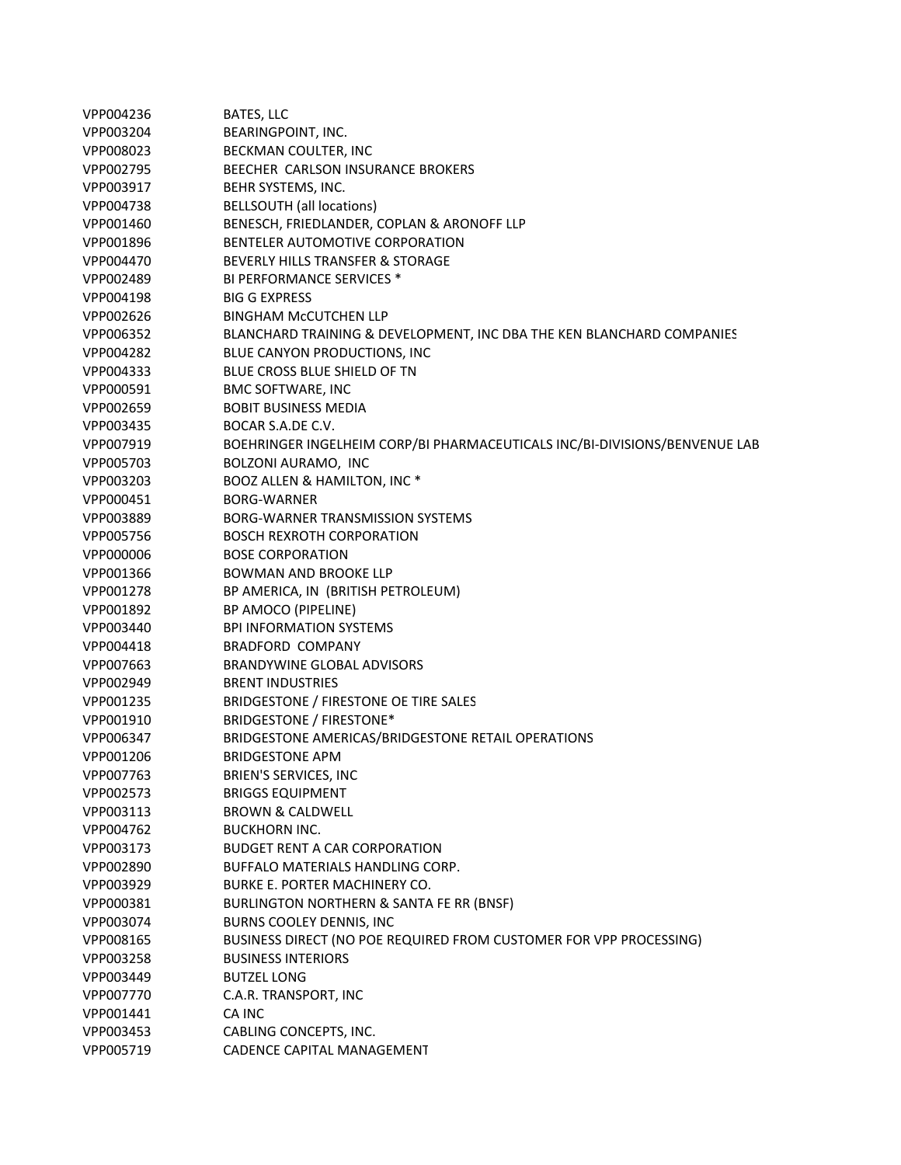| VPP004236 | BATES, LLC                                                                 |
|-----------|----------------------------------------------------------------------------|
| VPP003204 | BEARINGPOINT, INC.                                                         |
| VPP008023 | BECKMAN COULTER, INC                                                       |
| VPP002795 | BEECHER CARLSON INSURANCE BROKERS                                          |
| VPP003917 | BEHR SYSTEMS, INC.                                                         |
| VPP004738 | <b>BELLSOUTH</b> (all locations)                                           |
| VPP001460 | BENESCH, FRIEDLANDER, COPLAN & ARONOFF LLP                                 |
| VPP001896 | BENTELER AUTOMOTIVE CORPORATION                                            |
| VPP004470 | BEVERLY HILLS TRANSFER & STORAGE                                           |
| VPP002489 | <b>BI PERFORMANCE SERVICES *</b>                                           |
| VPP004198 | <b>BIG G EXPRESS</b>                                                       |
| VPP002626 | <b>BINGHAM MCCUTCHEN LLP</b>                                               |
| VPP006352 | BLANCHARD TRAINING & DEVELOPMENT, INC DBA THE KEN BLANCHARD COMPANIES      |
| VPP004282 | BLUE CANYON PRODUCTIONS, INC                                               |
| VPP004333 | BLUE CROSS BLUE SHIELD OF TN                                               |
| VPP000591 | <b>BMC SOFTWARE, INC</b>                                                   |
| VPP002659 | <b>BOBIT BUSINESS MEDIA</b>                                                |
| VPP003435 | BOCAR S.A.DE C.V.                                                          |
| VPP007919 | BOEHRINGER INGELHEIM CORP/BI PHARMACEUTICALS INC/BI-DIVISIONS/BENVENUE LAB |
| VPP005703 | BOLZONI AURAMO, INC                                                        |
| VPP003203 | BOOZ ALLEN & HAMILTON, INC <sup>*</sup>                                    |
| VPP000451 | <b>BORG-WARNER</b>                                                         |
| VPP003889 | <b>BORG-WARNER TRANSMISSION SYSTEMS</b>                                    |
| VPP005756 | <b>BOSCH REXROTH CORPORATION</b>                                           |
| VPP000006 | <b>BOSE CORPORATION</b>                                                    |
| VPP001366 | <b>BOWMAN AND BROOKE LLP</b>                                               |
| VPP001278 | BP AMERICA, IN (BRITISH PETROLEUM)                                         |
| VPP001892 | BP AMOCO (PIPELINE)                                                        |
| VPP003440 | <b>BPI INFORMATION SYSTEMS</b>                                             |
| VPP004418 | <b>BRADFORD COMPANY</b>                                                    |
| VPP007663 | <b>BRANDYWINE GLOBAL ADVISORS</b>                                          |
| VPP002949 | <b>BRENT INDUSTRIES</b>                                                    |
| VPP001235 | BRIDGESTONE / FIRESTONE OE TIRE SALES                                      |
| VPP001910 | <b>BRIDGESTONE / FIRESTONE*</b>                                            |
| VPP006347 | BRIDGESTONE AMERICAS/BRIDGESTONE RETAIL OPERATIONS                         |
| VPP001206 | <b>BRIDGESTONE APM</b>                                                     |
| VPP007763 | <b>BRIEN'S SERVICES, INC</b>                                               |
| VPP002573 | <b>BRIGGS EQUIPMENT</b>                                                    |
| VPP003113 | <b>BROWN &amp; CALDWELL</b>                                                |
| VPP004762 | <b>BUCKHORN INC.</b>                                                       |
| VPP003173 | <b>BUDGET RENT A CAR CORPORATION</b>                                       |
| VPP002890 | BUFFALO MATERIALS HANDLING CORP.                                           |
| VPP003929 | BURKE E. PORTER MACHINERY CO.                                              |
| VPP000381 | BURLINGTON NORTHERN & SANTA FE RR (BNSF)                                   |
| VPP003074 | BURNS COOLEY DENNIS, INC.                                                  |
| VPP008165 | BUSINESS DIRECT (NO POE REQUIRED FROM CUSTOMER FOR VPP PROCESSING)         |
| VPP003258 | <b>BUSINESS INTERIORS</b>                                                  |
| VPP003449 | <b>BUTZEL LONG</b>                                                         |
| VPP007770 | C.A.R. TRANSPORT, INC                                                      |
| VPP001441 | CA INC                                                                     |
| VPP003453 | CABLING CONCEPTS, INC.                                                     |
| VPP005719 | CADENCE CAPITAL MANAGEMENT                                                 |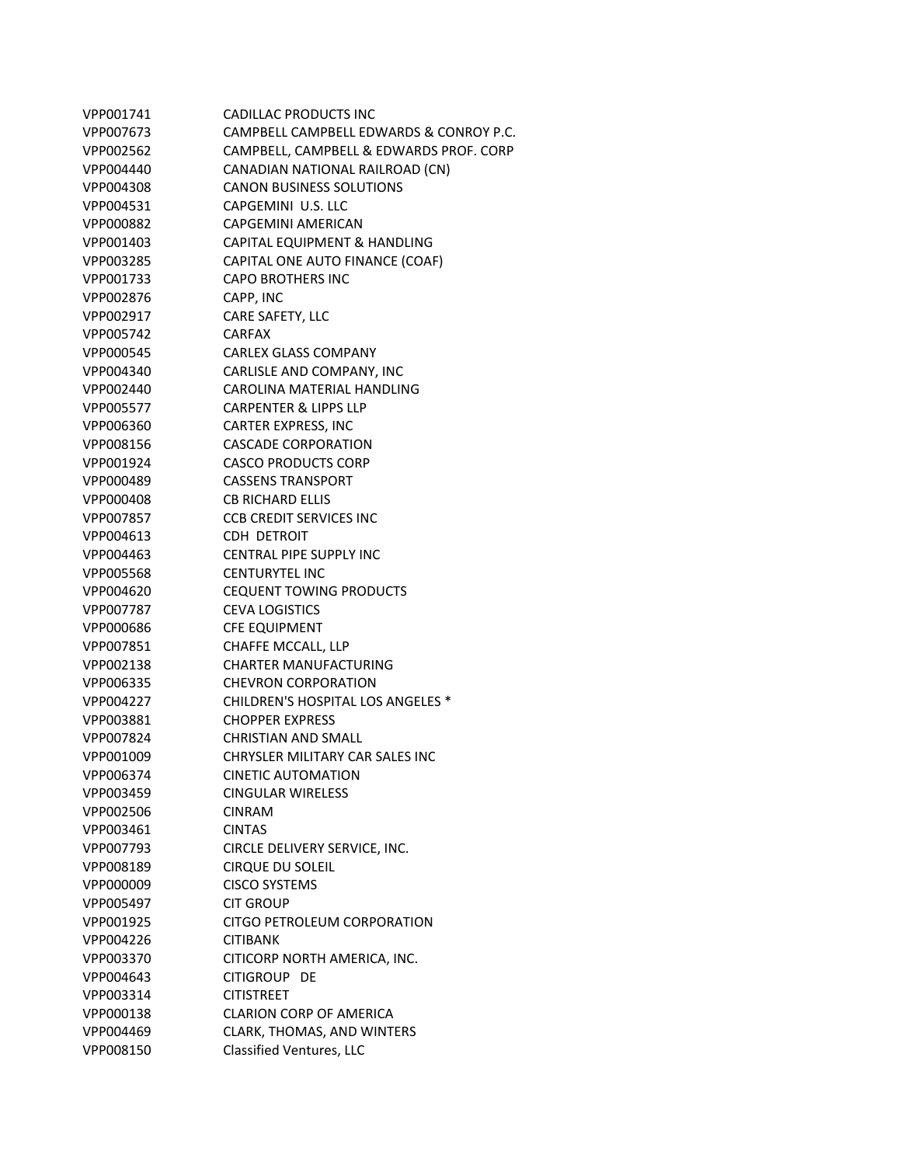| VPP001741 | CADILLAC PRODUCTS INC                   |
|-----------|-----------------------------------------|
| VPP007673 | CAMPBELL CAMPBELL EDWARDS & CONROY P.C. |
| VPP002562 | CAMPBELL, CAMPBELL & EDWARDS PROF. CORP |
| VPP004440 | CANADIAN NATIONAL RAILROAD (CN)         |
| VPP004308 | <b>CANON BUSINESS SOLUTIONS</b>         |
| VPP004531 | CAPGEMINI U.S. LLC                      |
| VPP000882 | CAPGEMINI AMERICAN                      |
| VPP001403 | CAPITAL EQUIPMENT & HANDLING            |
| VPP003285 | CAPITAL ONE AUTO FINANCE (COAF)         |
| VPP001733 | <b>CAPO BROTHERS INC</b>                |
| VPP002876 | CAPP, INC                               |
| VPP002917 | CARE SAFETY, LLC                        |
| VPP005742 | <b>CARFAX</b>                           |
| VPP000545 | <b>CARLEX GLASS COMPANY</b>             |
| VPP004340 | CARLISLE AND COMPANY, INC               |
| VPP002440 | CAROLINA MATERIAL HANDLING              |
| VPP005577 | <b>CARPENTER &amp; LIPPS LLP</b>        |
| VPP006360 | <b>CARTER EXPRESS, INC</b>              |
| VPP008156 | <b>CASCADE CORPORATION</b>              |
| VPP001924 | <b>CASCO PRODUCTS CORP</b>              |
| VPP000489 | <b>CASSENS TRANSPORT</b>                |
| VPP000408 | <b>CB RICHARD ELLIS</b>                 |
| VPP007857 | <b>CCB CREDIT SERVICES INC</b>          |
| VPP004613 | CDH DETROIT                             |
| VPP004463 | <b>CENTRAL PIPE SUPPLY INC</b>          |
| VPP005568 | <b>CENTURYTEL INC</b>                   |
| VPP004620 | <b>CEQUENT TOWING PRODUCTS</b>          |
| VPP007787 | <b>CEVA LOGISTICS</b>                   |
| VPP000686 | <b>CFE EQUIPMENT</b>                    |
| VPP007851 | CHAFFE MCCALL, LLP                      |
| VPP002138 | <b>CHARTER MANUFACTURING</b>            |
| VPP006335 | <b>CHEVRON CORPORATION</b>              |
| VPP004227 | CHILDREN'S HOSPITAL LOS ANGELES *       |
|           | <b>CHOPPER EXPRESS</b>                  |
| VPP003881 |                                         |
| VPP007824 | <b>CHRISTIAN AND SMALL</b>              |
| VPP001009 | CHRYSLER MILITARY CAR SALES INC         |
| VPP006374 | <b>CINETIC AUTOMATION</b>               |
| VPP003459 | <b>CINGULAR WIRELESS</b>                |
| VPP002506 | <b>CINRAM</b>                           |
| VPP003461 | <b>CINTAS</b>                           |
| VPP007793 | CIRCLE DELIVERY SERVICE, INC.           |
| VPP008189 | <b>CIRQUE DU SOLEIL</b>                 |
| VPP000009 | <b>CISCO SYSTEMS</b>                    |
| VPP005497 | <b>CIT GROUP</b>                        |
| VPP001925 | CITGO PETROLEUM CORPORATION             |
| VPP004226 | <b>CITIBANK</b>                         |
| VPP003370 | CITICORP NORTH AMERICA, INC.            |
| VPP004643 | CITIGROUP DE                            |
| VPP003314 | <b>CITISTREET</b>                       |
| VPP000138 | <b>CLARION CORP OF AMERICA</b>          |
| VPP004469 | CLARK, THOMAS, AND WINTERS              |
| VPP008150 | Classified Ventures, LLC                |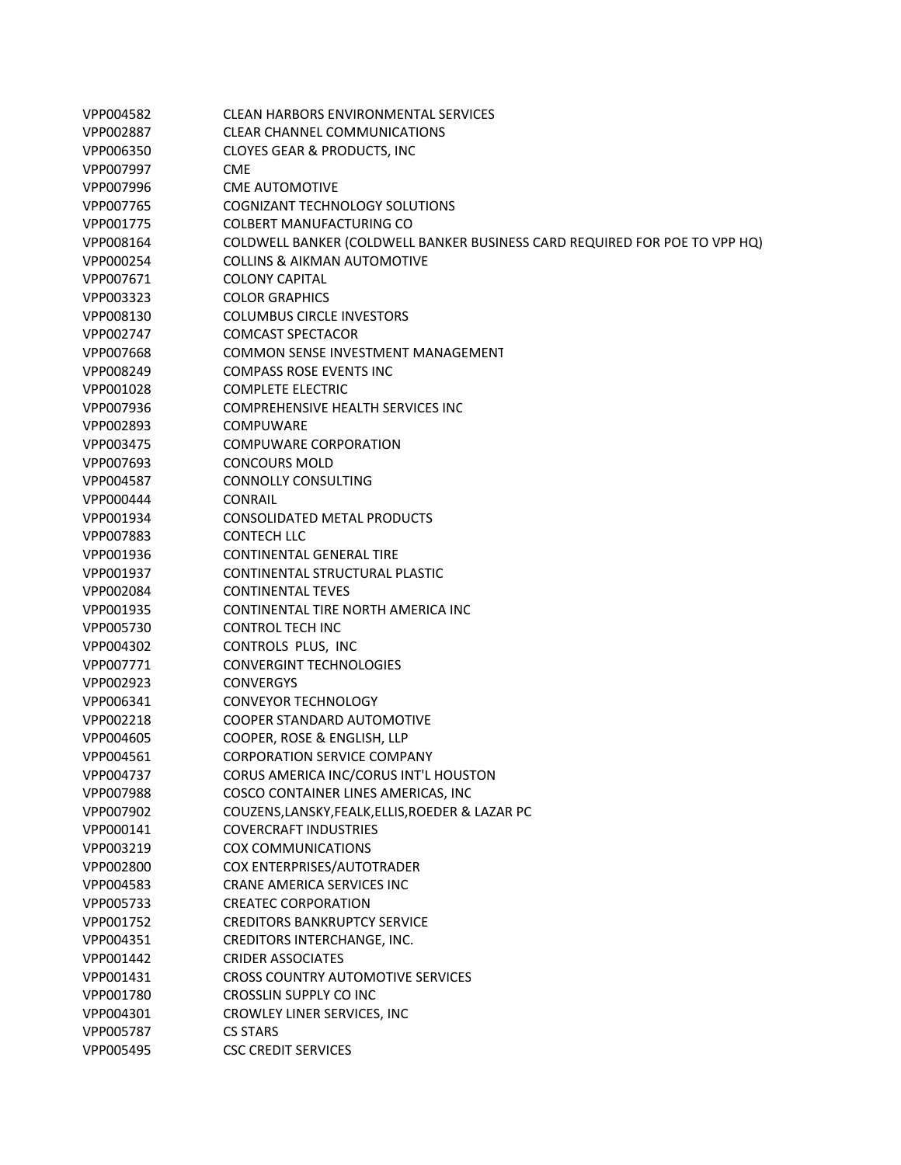| VPP004582 | CLEAN HARBORS ENVIRONMENTAL SERVICES                                              |
|-----------|-----------------------------------------------------------------------------------|
| VPP002887 | <b>CLEAR CHANNEL COMMUNICATIONS</b>                                               |
| VPP006350 | <b>CLOYES GEAR &amp; PRODUCTS, INC</b>                                            |
| VPP007997 | <b>CME</b>                                                                        |
| VPP007996 | <b>CME AUTOMOTIVE</b>                                                             |
| VPP007765 | <b>COGNIZANT TECHNOLOGY SOLUTIONS</b>                                             |
| VPP001775 | <b>COLBERT MANUFACTURING CO</b>                                                   |
| VPP008164 | <b>COLDWELL BANKER (COLDWELL BANKER BUSINESS CARD REQUIRED FOR POE TO VPP HQ)</b> |
| VPP000254 | <b>COLLINS &amp; AIKMAN AUTOMOTIVE</b>                                            |
| VPP007671 | <b>COLONY CAPITAL</b>                                                             |
| VPP003323 | <b>COLOR GRAPHICS</b>                                                             |
| VPP008130 | <b>COLUMBUS CIRCLE INVESTORS</b>                                                  |
| VPP002747 | <b>COMCAST SPECTACOR</b>                                                          |
| VPP007668 | COMMON SENSE INVESTMENT MANAGEMENT                                                |
| VPP008249 | <b>COMPASS ROSE EVENTS INC</b>                                                    |
| VPP001028 | <b>COMPLETE ELECTRIC</b>                                                          |
| VPP007936 | <b>COMPREHENSIVE HEALTH SERVICES INC</b>                                          |
| VPP002893 | <b>COMPUWARE</b>                                                                  |
| VPP003475 | COMPUWARE CORPORATION                                                             |
| VPP007693 | <b>CONCOURS MOLD</b>                                                              |
| VPP004587 | <b>CONNOLLY CONSULTING</b>                                                        |
| VPP000444 | <b>CONRAIL</b>                                                                    |
| VPP001934 | <b>CONSOLIDATED METAL PRODUCTS</b>                                                |
| VPP007883 | <b>CONTECH LLC</b>                                                                |
| VPP001936 | <b>CONTINENTAL GENERAL TIRE</b>                                                   |
| VPP001937 | CONTINENTAL STRUCTURAL PLASTIC                                                    |
| VPP002084 | <b>CONTINENTAL TEVES</b>                                                          |
| VPP001935 | CONTINENTAL TIRE NORTH AMERICA INC                                                |
| VPP005730 | <b>CONTROL TECH INC</b>                                                           |
| VPP004302 | CONTROLS PLUS, INC                                                                |
| VPP007771 | <b>CONVERGINT TECHNOLOGIES</b>                                                    |
| VPP002923 | <b>CONVERGYS</b>                                                                  |
| VPP006341 | <b>CONVEYOR TECHNOLOGY</b>                                                        |
| VPP002218 | <b>COOPER STANDARD AUTOMOTIVE</b>                                                 |
| VPP004605 | COOPER, ROSE & ENGLISH, LLP                                                       |
| VPP004561 | <b>CORPORATION SERVICE COMPANY</b>                                                |
| VPP004737 | CORUS AMERICA INC/CORUS INT'L HOUSTON                                             |
| VPP007988 | COSCO CONTAINER LINES AMERICAS, INC                                               |
| VPP007902 | COUZENS, LANSKY, FEALK, ELLIS, ROEDER & LAZAR PC                                  |
| VPP000141 | <b>COVERCRAFT INDUSTRIES</b>                                                      |
| VPP003219 | <b>COX COMMUNICATIONS</b>                                                         |
| VPP002800 | COX ENTERPRISES/AUTOTRADER                                                        |
| VPP004583 | <b>CRANE AMERICA SERVICES INC</b>                                                 |
| VPP005733 | <b>CREATEC CORPORATION</b>                                                        |
| VPP001752 | <b>CREDITORS BANKRUPTCY SERVICE</b>                                               |
| VPP004351 | CREDITORS INTERCHANGE, INC.                                                       |
| VPP001442 | <b>CRIDER ASSOCIATES</b>                                                          |
| VPP001431 | <b>CROSS COUNTRY AUTOMOTIVE SERVICES</b>                                          |
| VPP001780 | CROSSLIN SUPPLY CO INC                                                            |
| VPP004301 | CROWLEY LINER SERVICES, INC                                                       |
| VPP005787 | <b>CS STARS</b>                                                                   |
| VPP005495 | <b>CSC CREDIT SERVICES</b>                                                        |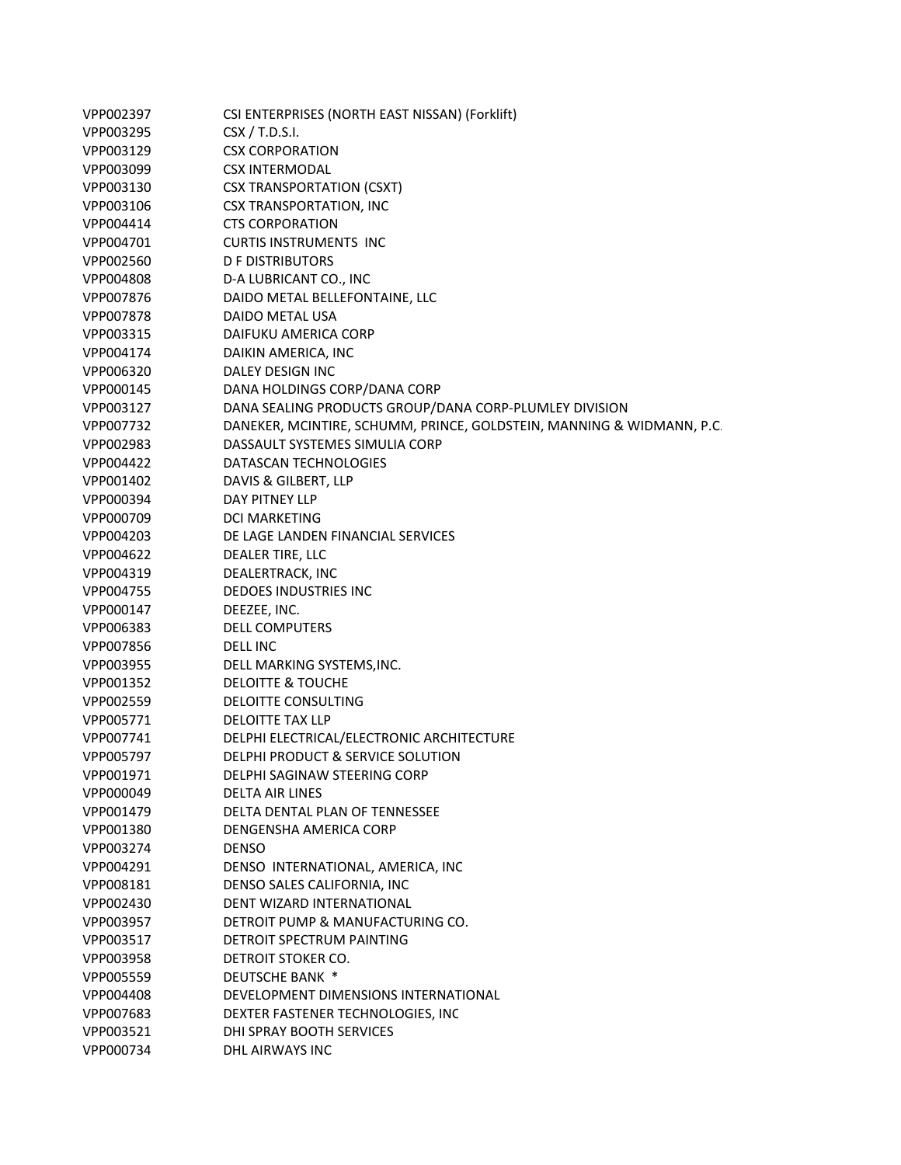| VPP002397 | CSI ENTERPRISES (NORTH EAST NISSAN) (Forklift)                        |
|-----------|-----------------------------------------------------------------------|
| VPP003295 | CSX / T.D.S.I.                                                        |
| VPP003129 | <b>CSX CORPORATION</b>                                                |
| VPP003099 | <b>CSX INTERMODAL</b>                                                 |
| VPP003130 | <b>CSX TRANSPORTATION (CSXT)</b>                                      |
| VPP003106 | CSX TRANSPORTATION, INC                                               |
| VPP004414 | <b>CTS CORPORATION</b>                                                |
| VPP004701 | <b>CURTIS INSTRUMENTS INC</b>                                         |
| VPP002560 | <b>D F DISTRIBUTORS</b>                                               |
| VPP004808 | D-A LUBRICANT CO., INC                                                |
| VPP007876 | DAIDO METAL BELLEFONTAINE, LLC                                        |
| VPP007878 | DAIDO METAL USA                                                       |
| VPP003315 | DAIFUKU AMERICA CORP                                                  |
| VPP004174 | DAIKIN AMERICA, INC                                                   |
| VPP006320 | DALEY DESIGN INC                                                      |
| VPP000145 | DANA HOLDINGS CORP/DANA CORP                                          |
| VPP003127 | DANA SEALING PRODUCTS GROUP/DANA CORP-PLUMLEY DIVISION                |
| VPP007732 | DANEKER, MCINTIRE, SCHUMM, PRINCE, GOLDSTEIN, MANNING & WIDMANN, P.C. |
| VPP002983 | DASSAULT SYSTEMES SIMULIA CORP                                        |
| VPP004422 | DATASCAN TECHNOLOGIES                                                 |
| VPP001402 | DAVIS & GILBERT, LLP                                                  |
| VPP000394 | <b>DAY PITNEY LLP</b>                                                 |
| VPP000709 | <b>DCI MARKETING</b>                                                  |
| VPP004203 | DE LAGE LANDEN FINANCIAL SERVICES                                     |
| VPP004622 | DEALER TIRE, LLC                                                      |
| VPP004319 | DEALERTRACK, INC                                                      |
| VPP004755 | DEDOES INDUSTRIES INC                                                 |
| VPP000147 | DEEZEE, INC.                                                          |
| VPP006383 | <b>DELL COMPUTERS</b>                                                 |
| VPP007856 | <b>DELL INC</b>                                                       |
| VPP003955 | DELL MARKING SYSTEMS, INC.                                            |
| VPP001352 | <b>DELOITTE &amp; TOUCHE</b>                                          |
| VPP002559 | DELOITTE CONSULTING                                                   |
| VPP005771 | <b>DELOITTE TAX LLP</b>                                               |
| VPP007741 | DELPHI ELECTRICAL/ELECTRONIC ARCHITECTURE                             |
| VPP005797 | DELPHI PRODUCT & SERVICE SOLUTION                                     |
| VPP001971 | DELPHI SAGINAW STEERING CORP                                          |
| VPP000049 | <b>DELTA AIR LINES</b>                                                |
| VPP001479 | DELTA DENTAL PLAN OF TENNESSEE                                        |
| VPP001380 | DENGENSHA AMERICA CORP                                                |
| VPP003274 | <b>DENSO</b>                                                          |
| VPP004291 | DENSO INTERNATIONAL, AMERICA, INC                                     |
| VPP008181 | DENSO SALES CALIFORNIA, INC                                           |
| VPP002430 | DENT WIZARD INTERNATIONAL                                             |
| VPP003957 | DETROIT PUMP & MANUFACTURING CO.                                      |
| VPP003517 | DETROIT SPECTRUM PAINTING                                             |
| VPP003958 | DETROIT STOKER CO.                                                    |
| VPP005559 | <b>DEUTSCHE BANK *</b>                                                |
| VPP004408 | DEVELOPMENT DIMENSIONS INTERNATIONAL                                  |
| VPP007683 | DEXTER FASTENER TECHNOLOGIES, INC                                     |
| VPP003521 | DHI SPRAY BOOTH SERVICES                                              |
| VPP000734 | DHL AIRWAYS INC                                                       |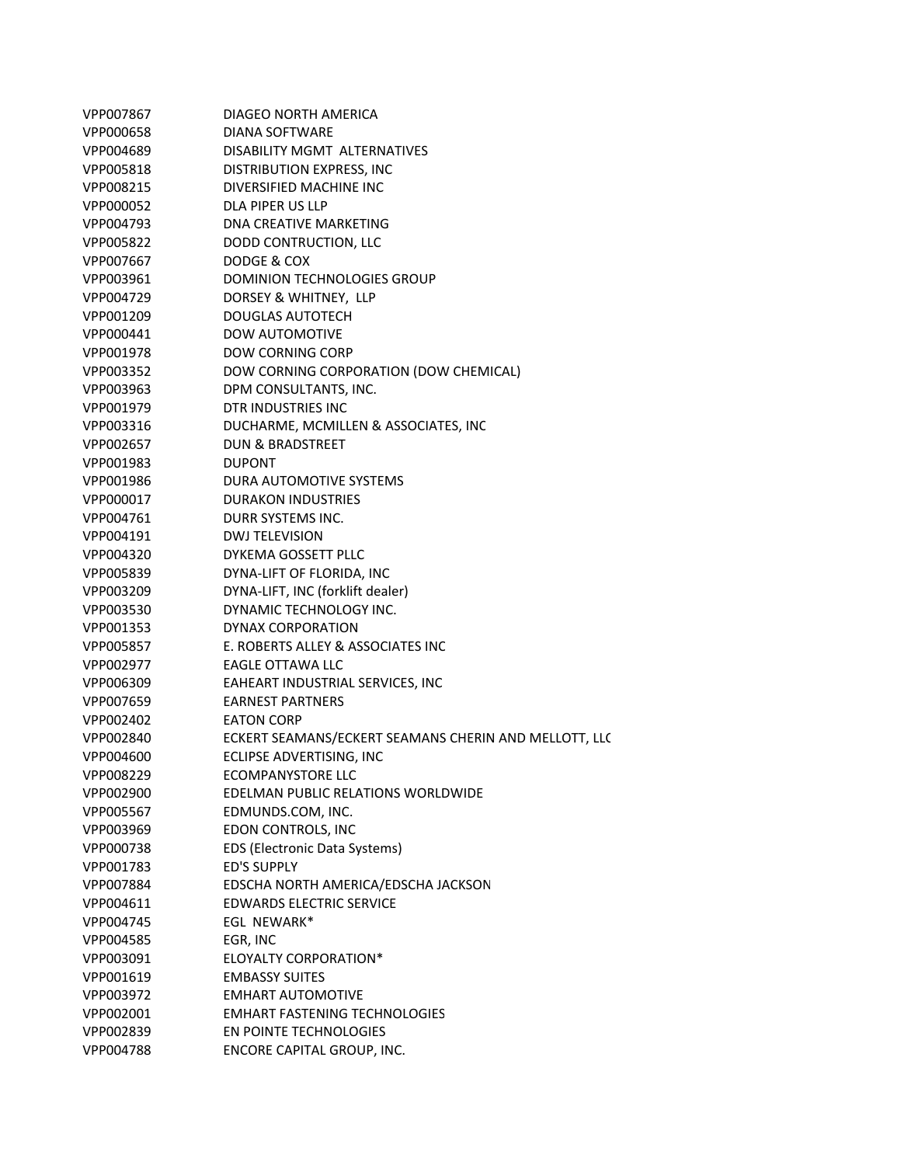| VPP007867 | DIAGEO NORTH AMERICA                                  |
|-----------|-------------------------------------------------------|
| VPP000658 | DIANA SOFTWARE                                        |
| VPP004689 | DISABILITY MGMT ALTERNATIVES                          |
| VPP005818 | DISTRIBUTION EXPRESS, INC.                            |
| VPP008215 | DIVERSIFIED MACHINE INC                               |
| VPP000052 | DLA PIPER US LLP                                      |
| VPP004793 | DNA CREATIVE MARKETING                                |
| VPP005822 | DODD CONTRUCTION, LLC                                 |
| VPP007667 | DODGE & COX                                           |
| VPP003961 | <b>DOMINION TECHNOLOGIES GROUP</b>                    |
| VPP004729 | DORSEY & WHITNEY, LLP                                 |
| VPP001209 | <b>DOUGLAS AUTOTECH</b>                               |
| VPP000441 | <b>DOW AUTOMOTIVE</b>                                 |
| VPP001978 | <b>DOW CORNING CORP</b>                               |
| VPP003352 | DOW CORNING CORPORATION (DOW CHEMICAL)                |
| VPP003963 | DPM CONSULTANTS, INC.                                 |
| VPP001979 | DTR INDUSTRIES INC                                    |
| VPP003316 | DUCHARME, MCMILLEN & ASSOCIATES, INC                  |
| VPP002657 | <b>DUN &amp; BRADSTREET</b>                           |
| VPP001983 | <b>DUPONT</b>                                         |
| VPP001986 | DURA AUTOMOTIVE SYSTEMS                               |
| VPP000017 | <b>DURAKON INDUSTRIES</b>                             |
| VPP004761 | DURR SYSTEMS INC.                                     |
| VPP004191 | <b>DWJ TELEVISION</b>                                 |
| VPP004320 | DYKEMA GOSSETT PLLC                                   |
| VPP005839 | DYNA-LIFT OF FLORIDA, INC                             |
| VPP003209 | DYNA-LIFT, INC (forklift dealer)                      |
| VPP003530 | DYNAMIC TECHNOLOGY INC.                               |
| VPP001353 | DYNAX CORPORATION                                     |
| VPP005857 | E. ROBERTS ALLEY & ASSOCIATES INC                     |
| VPP002977 | EAGLE OTTAWA LLC                                      |
| VPP006309 | EAHEART INDUSTRIAL SERVICES, INC                      |
| VPP007659 | <b>EARNEST PARTNERS</b>                               |
| VPP002402 | <b>EATON CORP</b>                                     |
| VPP002840 | ECKERT SEAMANS/ECKERT SEAMANS CHERIN AND MELLOTT, LLC |
| VPP004600 | ECLIPSE ADVERTISING, INC                              |
| VPP008229 | <b>ECOMPANYSTORE LLC</b>                              |
| VPP002900 | EDELMAN PUBLIC RELATIONS WORLDWIDE                    |
| VPP005567 | EDMUNDS.COM, INC.                                     |
| VPP003969 | EDON CONTROLS, INC                                    |
| VPP000738 | <b>EDS (Electronic Data Systems)</b>                  |
| VPP001783 | <b>ED'S SUPPLY</b>                                    |
| VPP007884 | EDSCHA NORTH AMERICA/EDSCHA JACKSON                   |
| VPP004611 | <b>EDWARDS ELECTRIC SERVICE</b>                       |
| VPP004745 | <b>EGL NEWARK*</b>                                    |
| VPP004585 | EGR, INC                                              |
| VPP003091 | ELOYALTY CORPORATION*                                 |
| VPP001619 | <b>EMBASSY SUITES</b>                                 |
| VPP003972 | <b>EMHART AUTOMOTIVE</b>                              |
| VPP002001 | <b>EMHART FASTENING TECHNOLOGIES</b>                  |
| VPP002839 | EN POINTE TECHNOLOGIES                                |
| VPP004788 | ENCORE CAPITAL GROUP, INC.                            |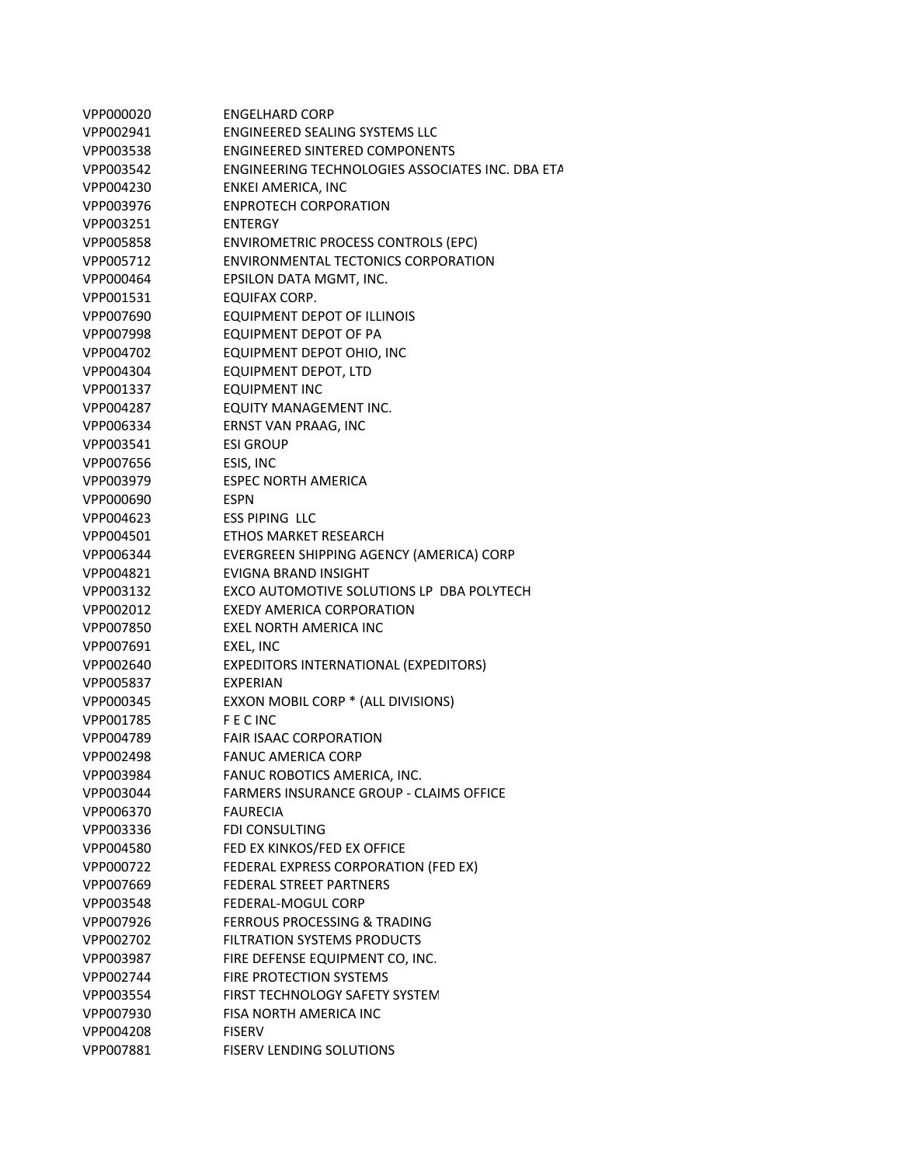| VPP000020 | <b>ENGELHARD CORP</b>                            |
|-----------|--------------------------------------------------|
| VPP002941 | <b>ENGINEERED SEALING SYSTEMS LLC</b>            |
| VPP003538 | <b>ENGINEERED SINTERED COMPONENTS</b>            |
| VPP003542 | ENGINEERING TECHNOLOGIES ASSOCIATES INC. DBA ETA |
| VPP004230 | ENKEI AMERICA, INC                               |
| VPP003976 | <b>ENPROTECH CORPORATION</b>                     |
| VPP003251 | <b>ENTERGY</b>                                   |
| VPP005858 | <b>ENVIROMETRIC PROCESS CONTROLS (EPC)</b>       |
| VPP005712 | ENVIRONMENTAL TECTONICS CORPORATION              |
| VPP000464 | EPSILON DATA MGMT, INC.                          |
| VPP001531 | EQUIFAX CORP.                                    |
| VPP007690 | <b>EQUIPMENT DEPOT OF ILLINOIS</b>               |
| VPP007998 | EQUIPMENT DEPOT OF PA                            |
| VPP004702 | EQUIPMENT DEPOT OHIO, INC                        |
| VPP004304 | <b>EQUIPMENT DEPOT, LTD</b>                      |
| VPP001337 | <b>EQUIPMENT INC</b>                             |
| VPP004287 | EQUITY MANAGEMENT INC.                           |
| VPP006334 | ERNST VAN PRAAG, INC                             |
| VPP003541 | <b>ESI GROUP</b>                                 |
| VPP007656 | ESIS, INC                                        |
| VPP003979 | <b>ESPEC NORTH AMERICA</b>                       |
| VPP000690 | <b>ESPN</b>                                      |
| VPP004623 | <b>ESS PIPING LLC</b>                            |
| VPP004501 | ETHOS MARKET RESEARCH                            |
| VPP006344 | EVERGREEN SHIPPING AGENCY (AMERICA) CORP         |
| VPP004821 | <b>EVIGNA BRAND INSIGHT</b>                      |
| VPP003132 | EXCO AUTOMOTIVE SOLUTIONS LP DBA POLYTECH        |
| VPP002012 | EXEDY AMERICA CORPORATION                        |
| VPP007850 | <b>EXEL NORTH AMERICA INC</b>                    |
| VPP007691 | EXEL, INC                                        |
| VPP002640 | <b>EXPEDITORS INTERNATIONAL (EXPEDITORS)</b>     |
| VPP005837 | <b>EXPERIAN</b>                                  |
| VPP000345 | EXXON MOBIL CORP * (ALL DIVISIONS)               |
| VPP001785 | <b>FECINC</b>                                    |
| VPP004789 | <b>FAIR ISAAC CORPORATION</b>                    |
| VPP002498 | <b>FANUC AMERICA CORP</b>                        |
| VPP003984 | FANUC ROBOTICS AMERICA, INC.                     |
| VPP003044 | <b>FARMERS INSURANCE GROUP - CLAIMS OFFICE</b>   |
| VPP006370 | <b>FAURECIA</b>                                  |
| VPP003336 | <b>FDI CONSULTING</b>                            |
| VPP004580 | FED EX KINKOS/FED EX OFFICE                      |
| VPP000722 | FEDERAL EXPRESS CORPORATION (FED EX)             |
| VPP007669 | <b>FEDERAL STREET PARTNERS</b>                   |
| VPP003548 | FEDERAL-MOGUL CORP                               |
| VPP007926 | <b>FERROUS PROCESSING &amp; TRADING</b>          |
| VPP002702 | <b>FILTRATION SYSTEMS PRODUCTS</b>               |
| VPP003987 | FIRE DEFENSE EQUIPMENT CO, INC.                  |
| VPP002744 | <b>FIRE PROTECTION SYSTEMS</b>                   |
| VPP003554 | FIRST TECHNOLOGY SAFETY SYSTEM                   |
| VPP007930 | FISA NORTH AMERICA INC                           |
| VPP004208 | <b>FISERV</b>                                    |
| VPP007881 | FISERV LENDING SOLUTIONS                         |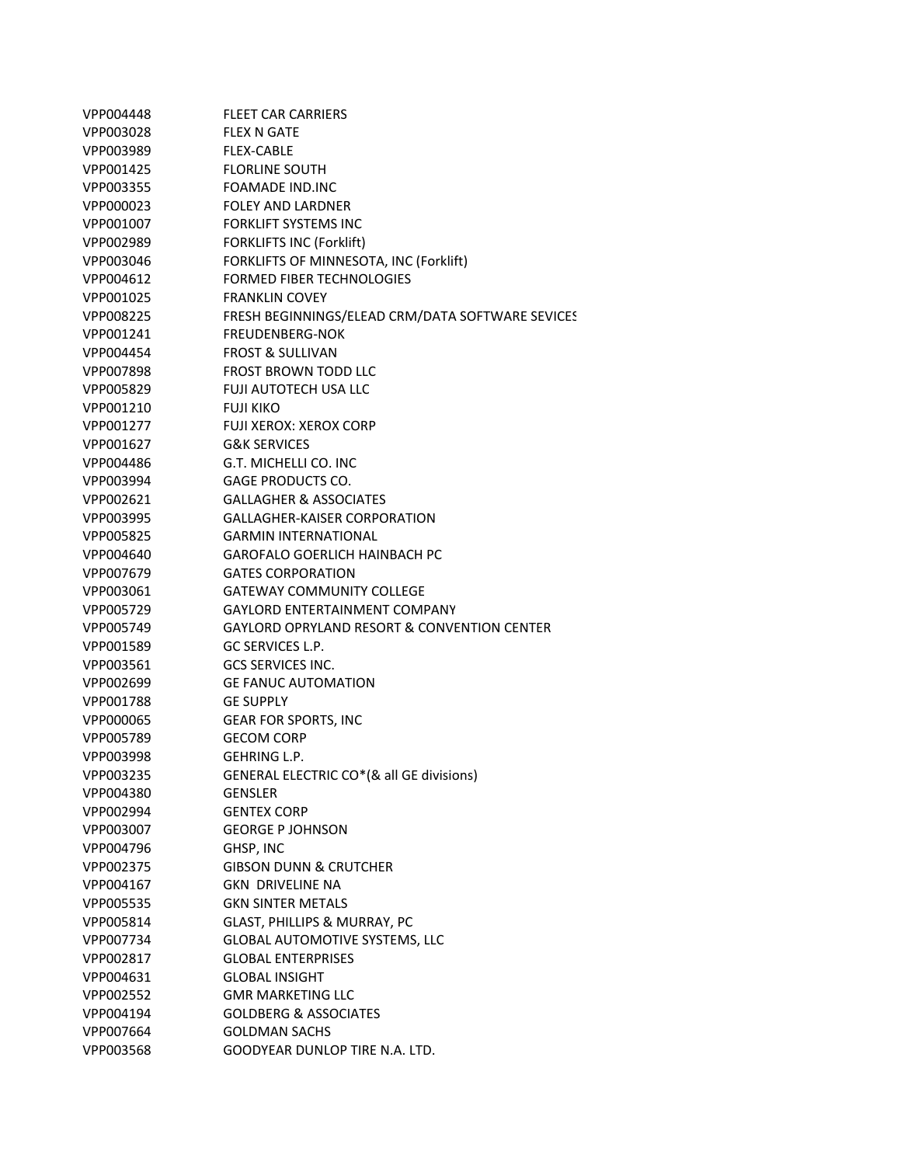| VPP004448 | <b>FLEET CAR CARRIERS</b>                        |
|-----------|--------------------------------------------------|
| VPP003028 | <b>FLEX N GATE</b>                               |
| VPP003989 | <b>FLEX-CABLE</b>                                |
| VPP001425 | <b>FLORLINE SOUTH</b>                            |
| VPP003355 | <b>FOAMADE IND.INC</b>                           |
| VPP000023 | <b>FOLEY AND LARDNER</b>                         |
| VPP001007 | <b>FORKLIFT SYSTEMS INC</b>                      |
| VPP002989 | <b>FORKLIFTS INC (Forklift)</b>                  |
| VPP003046 | FORKLIFTS OF MINNESOTA, INC (Forklift)           |
| VPP004612 | <b>FORMED FIBER TECHNOLOGIES</b>                 |
| VPP001025 | <b>FRANKLIN COVEY</b>                            |
| VPP008225 | FRESH BEGINNINGS/ELEAD CRM/DATA SOFTWARE SEVICES |
| VPP001241 | <b>FREUDENBERG-NOK</b>                           |
| VPP004454 | <b>FROST &amp; SULLIVAN</b>                      |
| VPP007898 | <b>FROST BROWN TODD LLC</b>                      |
| VPP005829 | <b>FUJI AUTOTECH USA LLC</b>                     |
| VPP001210 | <b>FUJI KIKO</b>                                 |
| VPP001277 | <b>FUJI XEROX: XEROX CORP</b>                    |
| VPP001627 | <b>G&amp;K SERVICES</b>                          |
| VPP004486 | G.T. MICHELLI CO. INC                            |
| VPP003994 | GAGE PRODUCTS CO.                                |
| VPP002621 | <b>GALLAGHER &amp; ASSOCIATES</b>                |
| VPP003995 | <b>GALLAGHER-KAISER CORPORATION</b>              |
| VPP005825 | <b>GARMIN INTERNATIONAL</b>                      |
| VPP004640 | GAROFALO GOERLICH HAINBACH PC                    |
| VPP007679 | <b>GATES CORPORATION</b>                         |
| VPP003061 | <b>GATEWAY COMMUNITY COLLEGE</b>                 |
| VPP005729 | GAYLORD ENTERTAINMENT COMPANY                    |
| VPP005749 | GAYLORD OPRYLAND RESORT & CONVENTION CENTER      |
| VPP001589 | GC SERVICES L.P.                                 |
| VPP003561 | <b>GCS SERVICES INC.</b>                         |
| VPP002699 | <b>GE FANUC AUTOMATION</b>                       |
| VPP001788 | <b>GE SUPPLY</b>                                 |
| VPP000065 | <b>GEAR FOR SPORTS, INC</b>                      |
| VPP005789 | <b>GECOM CORP</b>                                |
| VPP003998 | <b>GEHRING L.P.</b>                              |
| VPP003235 | GENERAL ELECTRIC CO*(& all GE divisions)         |
| VPP004380 | <b>GENSLER</b>                                   |
| VPP002994 | <b>GENTEX CORP</b>                               |
| VPP003007 | <b>GEORGE P JOHNSON</b>                          |
| VPP004796 | GHSP, INC                                        |
| VPP002375 | <b>GIBSON DUNN &amp; CRUTCHER</b>                |
| VPP004167 | <b>GKN DRIVELINE NA</b>                          |
| VPP005535 | <b>GKN SINTER METALS</b>                         |
| VPP005814 | GLAST, PHILLIPS & MURRAY, PC                     |
| VPP007734 | GLOBAL AUTOMOTIVE SYSTEMS, LLC                   |
| VPP002817 | <b>GLOBAL ENTERPRISES</b>                        |
| VPP004631 | <b>GLOBAL INSIGHT</b>                            |
| VPP002552 | <b>GMR MARKETING LLC</b>                         |
| VPP004194 | <b>GOLDBERG &amp; ASSOCIATES</b>                 |
| VPP007664 | <b>GOLDMAN SACHS</b>                             |
| VPP003568 | GOODYEAR DUNLOP TIRE N.A. LTD.                   |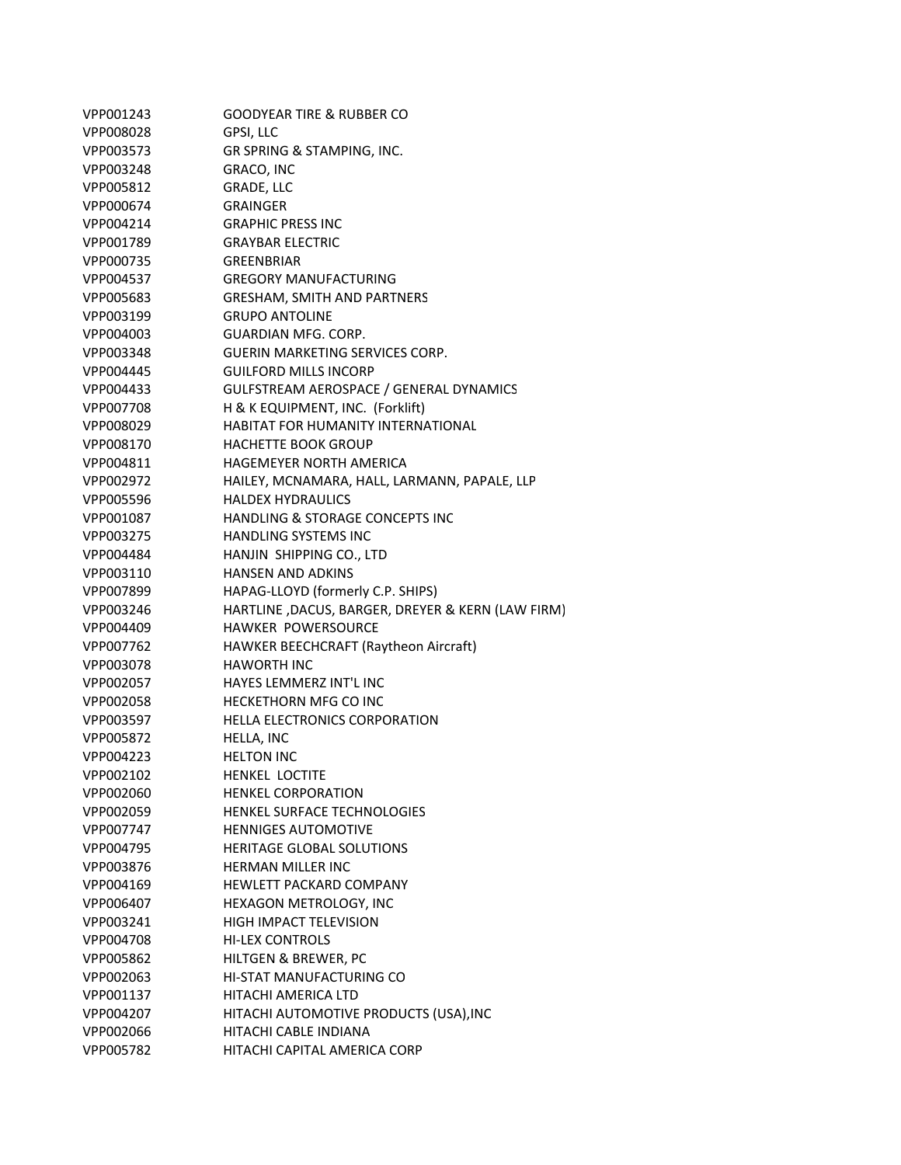| VPP001243 | <b>GOODYEAR TIRE &amp; RUBBER CO</b>              |
|-----------|---------------------------------------------------|
| VPP008028 | GPSI, LLC                                         |
| VPP003573 | GR SPRING & STAMPING, INC.                        |
| VPP003248 | GRACO, INC                                        |
| VPP005812 | GRADE, LLC                                        |
| VPP000674 | <b>GRAINGER</b>                                   |
| VPP004214 | <b>GRAPHIC PRESS INC</b>                          |
| VPP001789 | <b>GRAYBAR ELECTRIC</b>                           |
| VPP000735 | <b>GREENBRIAR</b>                                 |
| VPP004537 | <b>GREGORY MANUFACTURING</b>                      |
| VPP005683 | <b>GRESHAM, SMITH AND PARTNERS</b>                |
| VPP003199 | <b>GRUPO ANTOLINE</b>                             |
| VPP004003 | GUARDIAN MFG. CORP.                               |
| VPP003348 | <b>GUERIN MARKETING SERVICES CORP.</b>            |
| VPP004445 | <b>GUILFORD MILLS INCORP</b>                      |
| VPP004433 | GULFSTREAM AEROSPACE / GENERAL DYNAMICS           |
| VPP007708 | H & K EQUIPMENT, INC. (Forklift)                  |
| VPP008029 | <b>HABITAT FOR HUMANITY INTERNATIONAL</b>         |
| VPP008170 | <b>HACHETTE BOOK GROUP</b>                        |
| VPP004811 | HAGEMEYER NORTH AMERICA                           |
| VPP002972 | HAILEY, MCNAMARA, HALL, LARMANN, PAPALE, LLP      |
| VPP005596 | <b>HALDEX HYDRAULICS</b>                          |
| VPP001087 | HANDLING & STORAGE CONCEPTS INC                   |
| VPP003275 | HANDLING SYSTEMS INC                              |
| VPP004484 | HANJIN SHIPPING CO., LTD                          |
| VPP003110 | <b>HANSEN AND ADKINS</b>                          |
| VPP007899 | HAPAG-LLOYD (formerly C.P. SHIPS)                 |
| VPP003246 | HARTLINE, DACUS, BARGER, DREYER & KERN (LAW FIRM) |
| VPP004409 | HAWKER POWERSOURCE                                |
| VPP007762 | HAWKER BEECHCRAFT (Raytheon Aircraft)             |
| VPP003078 | <b>HAWORTH INC</b>                                |
| VPP002057 | <b>HAYES LEMMERZ INT'L INC</b>                    |
| VPP002058 | <b>HECKETHORN MFG CO INC</b>                      |
| VPP003597 | HELLA ELECTRONICS CORPORATION                     |
| VPP005872 | HELLA, INC                                        |
| VPP004223 | <b>HELTON INC</b>                                 |
| VPP002102 | HENKEL LOCTITE                                    |
| VPP002060 | <b>HENKEL CORPORATION</b>                         |
| VPP002059 | HENKEL SURFACE TECHNOLOGIES                       |
| VPP007747 | <b>HENNIGES AUTOMOTIVE</b>                        |
| VPP004795 | HERITAGE GLOBAL SOLUTIONS                         |
| VPP003876 | <b>HERMAN MILLER INC</b>                          |
| VPP004169 | <b>HEWLETT PACKARD COMPANY</b>                    |
| VPP006407 | HEXAGON METROLOGY, INC                            |
| VPP003241 | <b>HIGH IMPACT TELEVISION</b>                     |
| VPP004708 | <b>HI-LEX CONTROLS</b>                            |
| VPP005862 | HILTGEN & BREWER, PC                              |
| VPP002063 | HI-STAT MANUFACTURING CO                          |
| VPP001137 | HITACHI AMERICA LTD                               |
| VPP004207 | HITACHI AUTOMOTIVE PRODUCTS (USA), INC            |
| VPP002066 | <b>HITACHI CABLE INDIANA</b>                      |
| VPP005782 | HITACHI CAPITAL AMERICA CORP                      |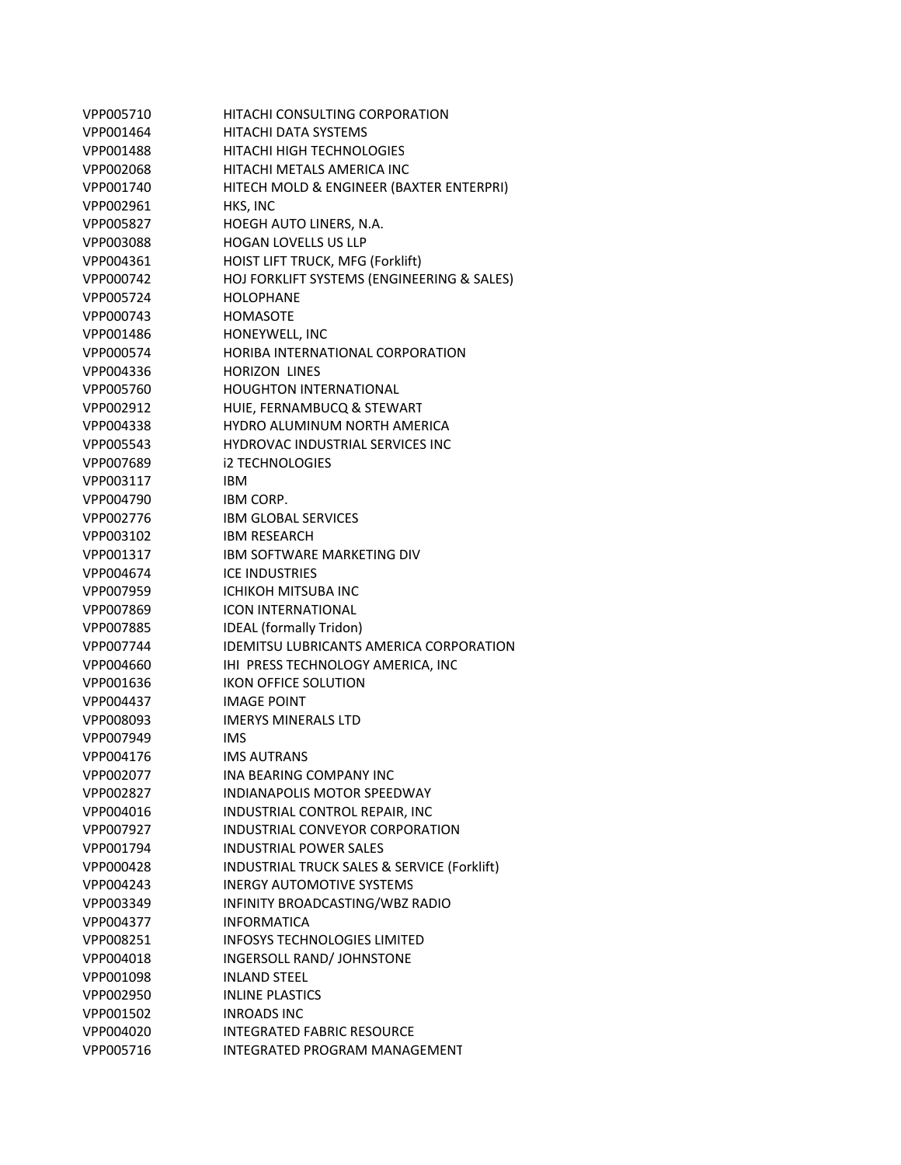| VPP005710 | HITACHI CONSULTING CORPORATION              |
|-----------|---------------------------------------------|
| VPP001464 | HITACHI DATA SYSTEMS                        |
| VPP001488 | HITACHI HIGH TECHNOLOGIES                   |
| VPP002068 | HITACHI METALS AMERICA INC                  |
| VPP001740 | HITECH MOLD & ENGINEER (BAXTER ENTERPRI)    |
| VPP002961 | HKS, INC                                    |
| VPP005827 | HOEGH AUTO LINERS, N.A.                     |
| VPP003088 | <b>HOGAN LOVELLS US LLP</b>                 |
| VPP004361 | HOIST LIFT TRUCK, MFG (Forklift)            |
| VPP000742 | HOJ FORKLIFT SYSTEMS (ENGINEERING & SALES)  |
| VPP005724 | <b>HOLOPHANE</b>                            |
| VPP000743 | <b>HOMASOTE</b>                             |
| VPP001486 | HONEYWELL, INC                              |
| VPP000574 | HORIBA INTERNATIONAL CORPORATION            |
| VPP004336 | <b>HORIZON LINES</b>                        |
| VPP005760 | <b>HOUGHTON INTERNATIONAL</b>               |
| VPP002912 | HUIE, FERNAMBUCQ & STEWART                  |
| VPP004338 | <b>HYDRO ALUMINUM NORTH AMERICA</b>         |
| VPP005543 | <b>HYDROVAC INDUSTRIAL SERVICES INC</b>     |
| VPP007689 | <b>i2 TECHNOLOGIES</b>                      |
| VPP003117 | <b>IBM</b>                                  |
| VPP004790 | <b>IBM CORP.</b>                            |
| VPP002776 | <b>IBM GLOBAL SERVICES</b>                  |
| VPP003102 | <b>IBM RESEARCH</b>                         |
| VPP001317 | IBM SOFTWARE MARKETING DIV                  |
| VPP004674 | <b>ICE INDUSTRIES</b>                       |
| VPP007959 | ICHIKOH MITSUBA INC                         |
| VPP007869 | <b>ICON INTERNATIONAL</b>                   |
| VPP007885 | <b>IDEAL</b> (formally Tridon)              |
| VPP007744 | IDEMITSU LUBRICANTS AMERICA CORPORATION     |
| VPP004660 | IHI PRESS TECHNOLOGY AMERICA, INC           |
| VPP001636 | <b>IKON OFFICE SOLUTION</b>                 |
| VPP004437 | <b>IMAGE POINT</b>                          |
| VPP008093 | <b>IMERYS MINERALS LTD</b>                  |
| VPP007949 | <b>IMS</b>                                  |
| VPP004176 | <b>IMS AUTRANS</b>                          |
| VPP002077 | <b>INA BEARING COMPANY INC</b>              |
| VPP002827 | <b>INDIANAPOLIS MOTOR SPEEDWAY</b>          |
| VPP004016 | INDUSTRIAL CONTROL REPAIR, INC              |
| VPP007927 | INDUSTRIAL CONVEYOR CORPORATION             |
| VPP001794 | <b>INDUSTRIAL POWER SALES</b>               |
| VPP000428 | INDUSTRIAL TRUCK SALES & SERVICE (Forklift) |
| VPP004243 | <b>INERGY AUTOMOTIVE SYSTEMS</b>            |
| VPP003349 | INFINITY BROADCASTING/WBZ RADIO             |
| VPP004377 | <b>INFORMATICA</b>                          |
| VPP008251 | <b>INFOSYS TECHNOLOGIES LIMITED</b>         |
| VPP004018 | INGERSOLL RAND/ JOHNSTONE                   |
| VPP001098 | <b>INLAND STEEL</b>                         |
| VPP002950 | <b>INLINE PLASTICS</b>                      |
| VPP001502 | <b>INROADS INC</b>                          |
| VPP004020 | <b>INTEGRATED FABRIC RESOURCE</b>           |
| VPP005716 | <b>INTEGRATED PROGRAM MANAGEMENT</b>        |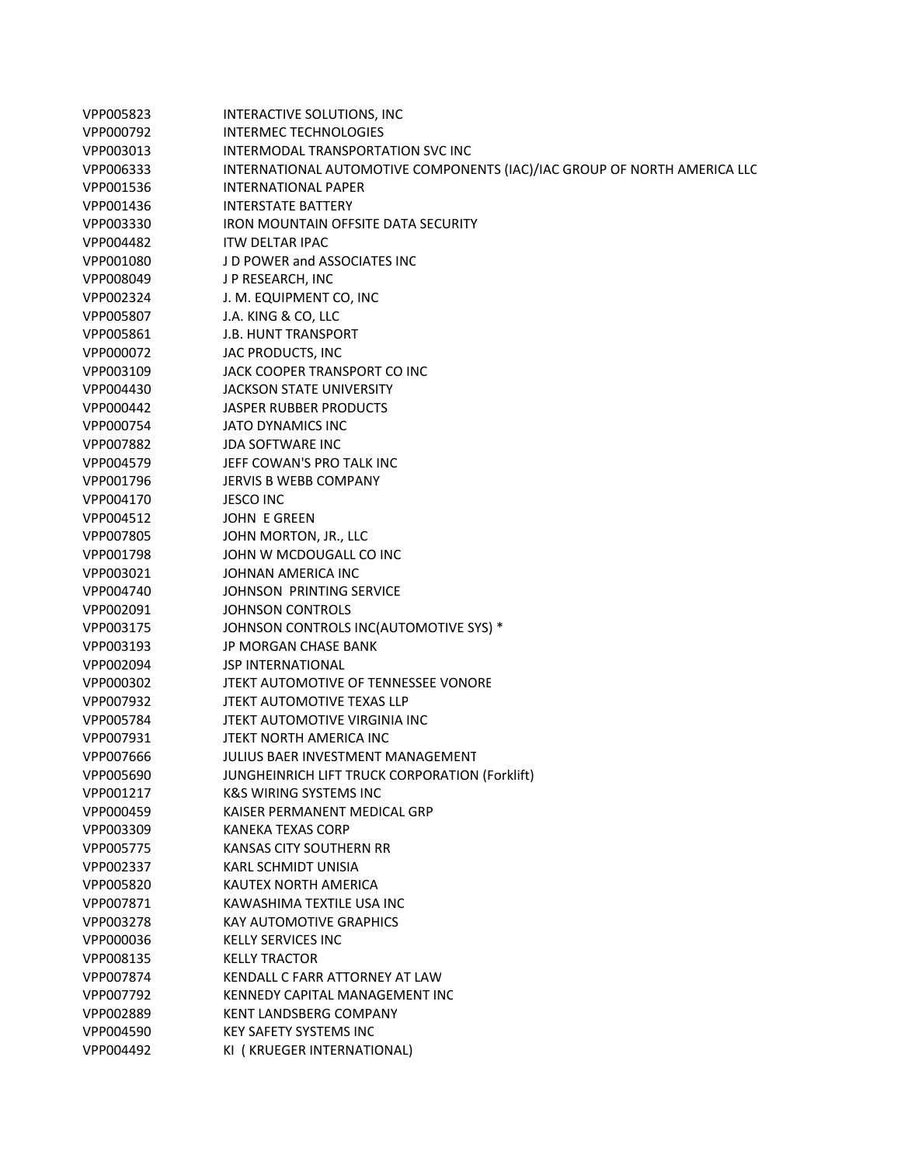| VPP005823 | INTERACTIVE SOLUTIONS, INC                                               |
|-----------|--------------------------------------------------------------------------|
| VPP000792 | <b>INTERMEC TECHNOLOGIES</b>                                             |
| VPP003013 | INTERMODAL TRANSPORTATION SVC INC                                        |
| VPP006333 | INTERNATIONAL AUTOMOTIVE COMPONENTS (IAC)/IAC GROUP OF NORTH AMERICA LLC |
| VPP001536 | <b>INTERNATIONAL PAPER</b>                                               |
| VPP001436 | <b>INTERSTATE BATTERY</b>                                                |
| VPP003330 | <b>IRON MOUNTAIN OFFSITE DATA SECURITY</b>                               |
| VPP004482 | <b>ITW DELTAR IPAC</b>                                                   |
| VPP001080 | J D POWER and ASSOCIATES INC                                             |
| VPP008049 | J P RESEARCH, INC                                                        |
| VPP002324 | J. M. EQUIPMENT CO, INC                                                  |
| VPP005807 | J.A. KING & CO, LLC                                                      |
| VPP005861 | <b>J.B. HUNT TRANSPORT</b>                                               |
| VPP000072 | JAC PRODUCTS, INC                                                        |
| VPP003109 | JACK COOPER TRANSPORT CO INC                                             |
| VPP004430 | <b>JACKSON STATE UNIVERSITY</b>                                          |
| VPP000442 | <b>JASPER RUBBER PRODUCTS</b>                                            |
| VPP000754 | <b>JATO DYNAMICS INC</b>                                                 |
| VPP007882 | <b>JDA SOFTWARE INC</b>                                                  |
| VPP004579 | JEFF COWAN'S PRO TALK INC                                                |
| VPP001796 | <b>JERVIS B WEBB COMPANY</b>                                             |
| VPP004170 | <b>JESCO INC</b>                                                         |
| VPP004512 | JOHN E GREEN                                                             |
| VPP007805 | JOHN MORTON, JR., LLC                                                    |
| VPP001798 | JOHN W MCDOUGALL CO INC                                                  |
| VPP003021 | JOHNAN AMERICA INC                                                       |
| VPP004740 | <b>JOHNSON PRINTING SERVICE</b>                                          |
| VPP002091 | <b>JOHNSON CONTROLS</b>                                                  |
| VPP003175 | JOHNSON CONTROLS INC(AUTOMOTIVE SYS) *                                   |
| VPP003193 | <b>JP MORGAN CHASE BANK</b>                                              |
| VPP002094 | <b>JSP INTERNATIONAL</b>                                                 |
| VPP000302 | JTEKT AUTOMOTIVE OF TENNESSEE VONORE                                     |
| VPP007932 | <b>JTEKT AUTOMOTIVE TEXAS LLP</b>                                        |
| VPP005784 | JTEKT AUTOMOTIVE VIRGINIA INC                                            |
| VPP007931 | JTEKT NORTH AMERICA INC                                                  |
| VPP007666 | JULIUS BAER INVESTMENT MANAGEMENT                                        |
| VPP005690 | JUNGHEINRICH LIFT TRUCK CORPORATION (Forklift)                           |
| VPP001217 | <b>K&amp;S WIRING SYSTEMS INC</b>                                        |
| VPP000459 | KAISER PERMANENT MEDICAL GRP                                             |
| VPP003309 | <b>KANEKA TEXAS CORP</b>                                                 |
| VPP005775 | KANSAS CITY SOUTHERN RR                                                  |
| VPP002337 | KARL SCHMIDT UNISIA                                                      |
| VPP005820 | KAUTEX NORTH AMERICA                                                     |
| VPP007871 | KAWASHIMA TEXTILE USA INC                                                |
| VPP003278 | KAY AUTOMOTIVE GRAPHICS                                                  |
| VPP000036 | <b>KELLY SERVICES INC</b>                                                |
| VPP008135 | <b>KELLY TRACTOR</b>                                                     |
| VPP007874 | KENDALL C FARR ATTORNEY AT LAW                                           |
| VPP007792 | KENNEDY CAPITAL MANAGEMENT INC                                           |
| VPP002889 | <b>KENT LANDSBERG COMPANY</b>                                            |
| VPP004590 | <b>KEY SAFETY SYSTEMS INC</b>                                            |
| VPP004492 | KI (KRUEGER INTERNATIONAL)                                               |
|           |                                                                          |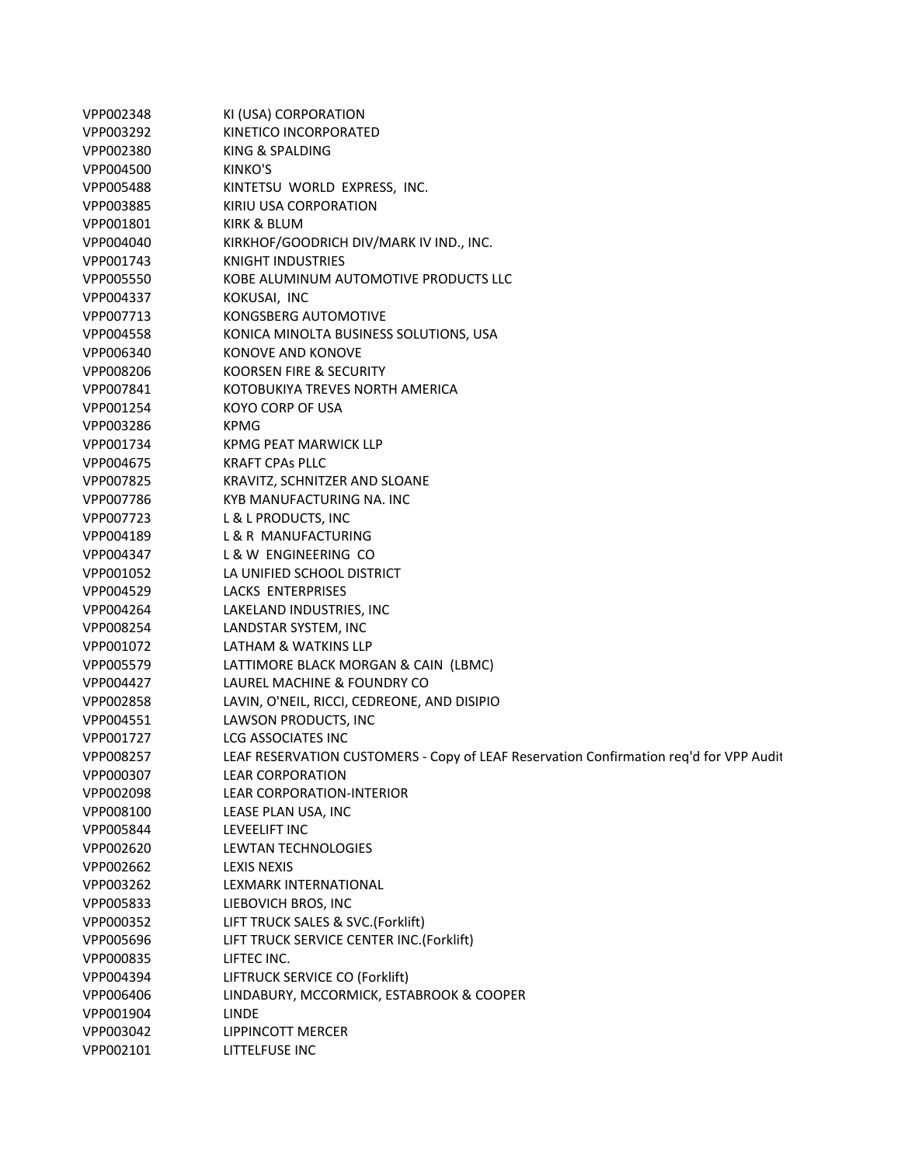| VPP002348 | KI (USA) CORPORATION                                                                   |
|-----------|----------------------------------------------------------------------------------------|
| VPP003292 | KINETICO INCORPORATED                                                                  |
| VPP002380 | KING & SPALDING                                                                        |
| VPP004500 | KINKO'S                                                                                |
| VPP005488 | KINTETSU WORLD EXPRESS, INC.                                                           |
| VPP003885 | KIRIU USA CORPORATION                                                                  |
| VPP001801 | KIRK & BLUM                                                                            |
| VPP004040 | KIRKHOF/GOODRICH DIV/MARK IV IND., INC.                                                |
| VPP001743 | <b>KNIGHT INDUSTRIES</b>                                                               |
| VPP005550 | KOBE ALUMINUM AUTOMOTIVE PRODUCTS LLC                                                  |
| VPP004337 | KOKUSAI, INC                                                                           |
| VPP007713 | KONGSBERG AUTOMOTIVE                                                                   |
| VPP004558 | KONICA MINOLTA BUSINESS SOLUTIONS, USA                                                 |
| VPP006340 | KONOVE AND KONOVE                                                                      |
| VPP008206 | KOORSEN FIRE & SECURITY                                                                |
| VPP007841 | KOTOBUKIYA TREVES NORTH AMERICA                                                        |
| VPP001254 | <b>KOYO CORP OF USA</b>                                                                |
| VPP003286 | <b>KPMG</b>                                                                            |
| VPP001734 | <b>KPMG PEAT MARWICK LLP</b>                                                           |
| VPP004675 | <b>KRAFT CPAS PLLC</b>                                                                 |
| VPP007825 | KRAVITZ, SCHNITZER AND SLOANE                                                          |
| VPP007786 | KYB MANUFACTURING NA. INC                                                              |
| VPP007723 | L & L PRODUCTS, INC                                                                    |
| VPP004189 | L & R MANUFACTURING                                                                    |
| VPP004347 | L & W ENGINEERING CO                                                                   |
| VPP001052 | LA UNIFIED SCHOOL DISTRICT                                                             |
| VPP004529 | LACKS ENTERPRISES                                                                      |
| VPP004264 | LAKELAND INDUSTRIES, INC                                                               |
| VPP008254 | LANDSTAR SYSTEM, INC                                                                   |
| VPP001072 | LATHAM & WATKINS LLP                                                                   |
| VPP005579 | LATTIMORE BLACK MORGAN & CAIN (LBMC)                                                   |
| VPP004427 | LAUREL MACHINE & FOUNDRY CO                                                            |
| VPP002858 | LAVIN, O'NEIL, RICCI, CEDREONE, AND DISIPIO                                            |
| VPP004551 | LAWSON PRODUCTS, INC                                                                   |
| VPP001727 | <b>LCG ASSOCIATES INC</b>                                                              |
| VPP008257 | LEAF RESERVATION CUSTOMERS - Copy of LEAF Reservation Confirmation req'd for VPP Audit |
| VPP000307 | <b>LEAR CORPORATION</b>                                                                |
| VPP002098 | <b>LEAR CORPORATION-INTERIOR</b>                                                       |
| VPP008100 | LEASE PLAN USA, INC                                                                    |
| VPP005844 | LEVEELIFT INC                                                                          |
| VPP002620 | <b>LEWTAN TECHNOLOGIES</b>                                                             |
| VPP002662 | <b>LEXIS NEXIS</b>                                                                     |
| VPP003262 | LEXMARK INTERNATIONAL                                                                  |
| VPP005833 | LIEBOVICH BROS, INC                                                                    |
| VPP000352 | LIFT TRUCK SALES & SVC.(Forklift)                                                      |
| VPP005696 | LIFT TRUCK SERVICE CENTER INC.(Forklift)                                               |
| VPP000835 | LIFTEC INC.                                                                            |
| VPP004394 | LIFTRUCK SERVICE CO (Forklift)                                                         |
| VPP006406 | LINDABURY, MCCORMICK, ESTABROOK & COOPER                                               |
| VPP001904 | <b>LINDE</b>                                                                           |
| VPP003042 | LIPPINCOTT MERCER                                                                      |
| VPP002101 | LITTELFUSE INC                                                                         |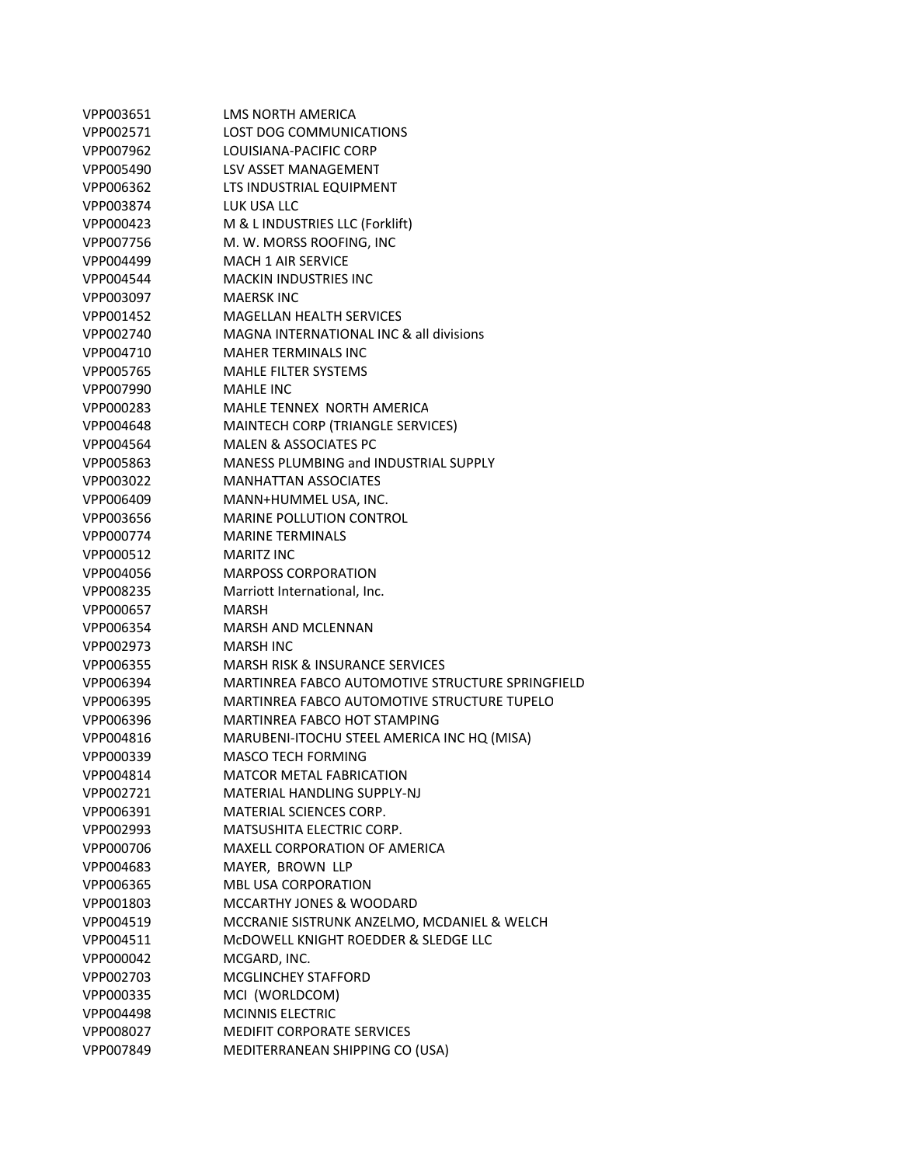| VPP003651 | LMS NORTH AMERICA                                |
|-----------|--------------------------------------------------|
| VPP002571 | LOST DOG COMMUNICATIONS                          |
| VPP007962 | LOUISIANA-PACIFIC CORP                           |
| VPP005490 | LSV ASSET MANAGEMENT                             |
| VPP006362 | LTS INDUSTRIAL EQUIPMENT                         |
| VPP003874 | LUK USA LLC                                      |
| VPP000423 | M & L INDUSTRIES LLC (Forklift)                  |
| VPP007756 | M. W. MORSS ROOFING, INC                         |
| VPP004499 | <b>MACH 1 AIR SERVICE</b>                        |
| VPP004544 | <b>MACKIN INDUSTRIES INC</b>                     |
| VPP003097 | <b>MAERSK INC</b>                                |
| VPP001452 | <b>MAGELLAN HEALTH SERVICES</b>                  |
| VPP002740 | MAGNA INTERNATIONAL INC & all divisions          |
| VPP004710 | <b>MAHER TERMINALS INC</b>                       |
| VPP005765 | <b>MAHLE FILTER SYSTEMS</b>                      |
| VPP007990 | <b>MAHLE INC</b>                                 |
| VPP000283 | MAHLE TENNEX NORTH AMERICA                       |
| VPP004648 | MAINTECH CORP (TRIANGLE SERVICES)                |
| VPP004564 | <b>MALEN &amp; ASSOCIATES PC</b>                 |
| VPP005863 | <b>MANESS PLUMBING and INDUSTRIAL SUPPLY</b>     |
| VPP003022 | <b>MANHATTAN ASSOCIATES</b>                      |
| VPP006409 | MANN+HUMMEL USA, INC.                            |
| VPP003656 | <b>MARINE POLLUTION CONTROL</b>                  |
| VPP000774 | <b>MARINE TERMINALS</b>                          |
| VPP000512 | <b>MARITZ INC</b>                                |
| VPP004056 | <b>MARPOSS CORPORATION</b>                       |
| VPP008235 | Marriott International, Inc.                     |
| VPP000657 | <b>MARSH</b>                                     |
| VPP006354 | <b>MARSH AND MCLENNAN</b>                        |
| VPP002973 | <b>MARSH INC</b>                                 |
| VPP006355 | <b>MARSH RISK &amp; INSURANCE SERVICES</b>       |
| VPP006394 | MARTINREA FABCO AUTOMOTIVE STRUCTURE SPRINGFIELD |
| VPP006395 | MARTINREA FABCO AUTOMOTIVE STRUCTURE TUPELO      |
| VPP006396 | MARTINREA FABCO HOT STAMPING                     |
| VPP004816 | MARUBENI-ITOCHU STEEL AMERICA INC HQ (MISA)      |
| VPP000339 | <b>MASCO TECH FORMING</b>                        |
| VPP004814 | <b>MATCOR METAL FABRICATION</b>                  |
| VPP002721 | MATERIAL HANDLING SUPPLY-NJ                      |
| VPP006391 | <b>MATERIAL SCIENCES CORP.</b>                   |
| VPP002993 | MATSUSHITA ELECTRIC CORP.                        |
| VPP000706 | MAXELL CORPORATION OF AMERICA                    |
| VPP004683 | MAYER, BROWN LLP                                 |
| VPP006365 | <b>MBL USA CORPORATION</b>                       |
| VPP001803 | <b>MCCARTHY JONES &amp; WOODARD</b>              |
| VPP004519 | MCCRANIE SISTRUNK ANZELMO, MCDANIEL & WELCH      |
| VPP004511 | MCDOWELL KNIGHT ROEDDER & SLEDGE LLC             |
| VPP000042 | MCGARD, INC.                                     |
| VPP002703 | <b>MCGLINCHEY STAFFORD</b>                       |
| VPP000335 | MCI (WORLDCOM)                                   |
| VPP004498 | <b>MCINNIS ELECTRIC</b>                          |
| VPP008027 | <b>MEDIFIT CORPORATE SERVICES</b>                |
| VPP007849 | MEDITERRANEAN SHIPPING CO (USA)                  |
|           |                                                  |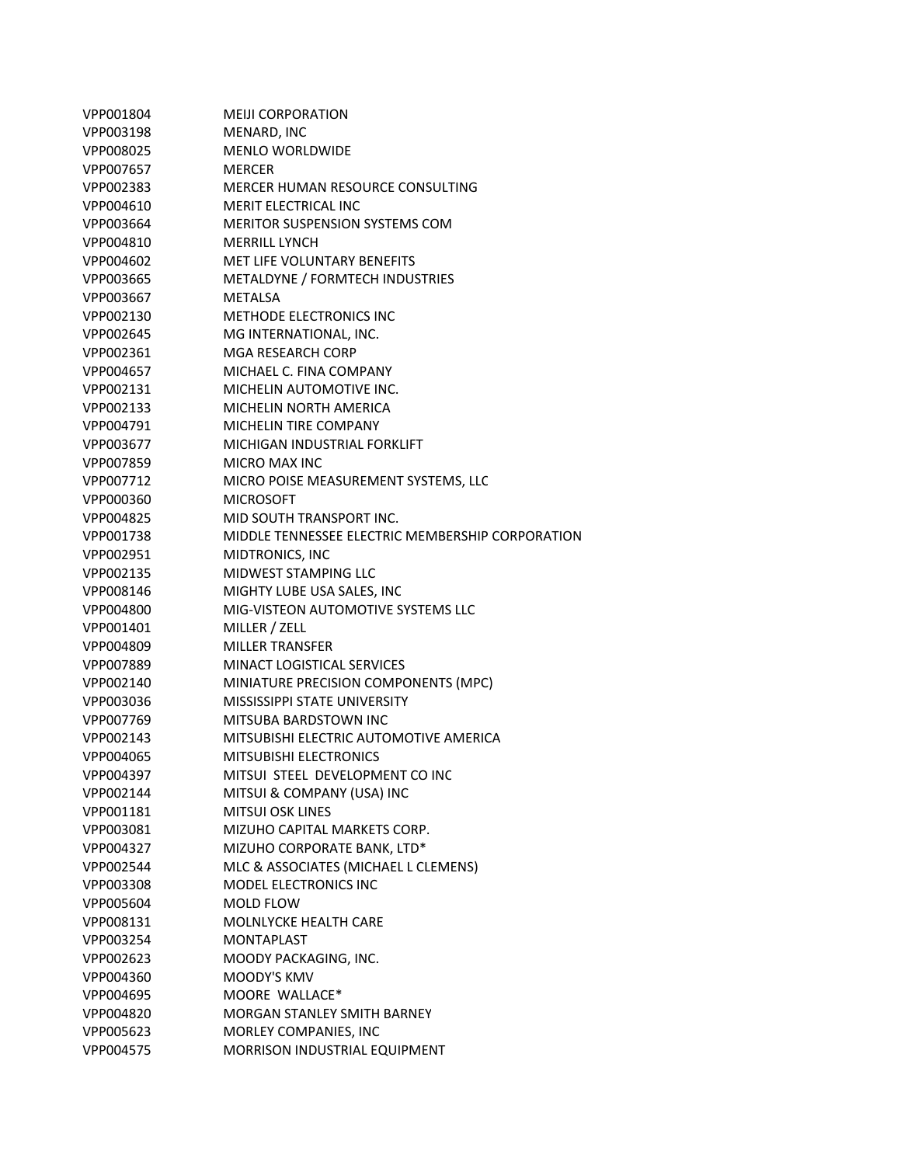| VPP001804 | <b>MEIJI CORPORATION</b>                         |
|-----------|--------------------------------------------------|
| VPP003198 | MENARD, INC                                      |
| VPP008025 | <b>MENLO WORLDWIDE</b>                           |
| VPP007657 | <b>MERCER</b>                                    |
| VPP002383 | MERCER HUMAN RESOURCE CONSULTING                 |
| VPP004610 | <b>MERIT ELECTRICAL INC</b>                      |
| VPP003664 | <b>MERITOR SUSPENSION SYSTEMS COM</b>            |
| VPP004810 | <b>MERRILL LYNCH</b>                             |
| VPP004602 | <b>MET LIFE VOLUNTARY BENEFITS</b>               |
| VPP003665 | METALDYNE / FORMTECH INDUSTRIES                  |
| VPP003667 | <b>METALSA</b>                                   |
| VPP002130 | <b>METHODE ELECTRONICS INC</b>                   |
| VPP002645 | MG INTERNATIONAL, INC.                           |
| VPP002361 | MGA RESEARCH CORP                                |
| VPP004657 | MICHAEL C. FINA COMPANY                          |
| VPP002131 | MICHELIN AUTOMOTIVE INC.                         |
| VPP002133 | MICHELIN NORTH AMERICA                           |
| VPP004791 | MICHELIN TIRE COMPANY                            |
| VPP003677 | MICHIGAN INDUSTRIAL FORKLIFT                     |
| VPP007859 | <b>MICRO MAX INC</b>                             |
| VPP007712 | MICRO POISE MEASUREMENT SYSTEMS, LLC             |
| VPP000360 | <b>MICROSOFT</b>                                 |
| VPP004825 | MID SOUTH TRANSPORT INC.                         |
| VPP001738 | MIDDLE TENNESSEE ELECTRIC MEMBERSHIP CORPORATION |
| VPP002951 | MIDTRONICS, INC                                  |
| VPP002135 | MIDWEST STAMPING LLC                             |
| VPP008146 | MIGHTY LUBE USA SALES, INC                       |
| VPP004800 | MIG-VISTEON AUTOMOTIVE SYSTEMS LLC               |
| VPP001401 | MILLER / ZELL                                    |
| VPP004809 | <b>MILLER TRANSFER</b>                           |
| VPP007889 | <b>MINACT LOGISTICAL SERVICES</b>                |
| VPP002140 | MINIATURE PRECISION COMPONENTS (MPC)             |
| VPP003036 | MISSISSIPPI STATE UNIVERSITY                     |
| VPP007769 | <b>MITSUBA BARDSTOWN INC</b>                     |
| VPP002143 | MITSUBISHI ELECTRIC AUTOMOTIVE AMERICA           |
| VPP004065 | <b>MITSUBISHI ELECTRONICS</b>                    |
| VPP004397 | MITSUI STEEL DEVELOPMENT CO INC                  |
| VPP002144 | MITSUI & COMPANY (USA) INC                       |
| VPP001181 | <b>MITSUI OSK LINES</b>                          |
| VPP003081 | MIZUHO CAPITAL MARKETS CORP.                     |
| VPP004327 | MIZUHO CORPORATE BANK, LTD*                      |
| VPP002544 | MLC & ASSOCIATES (MICHAEL L CLEMENS)             |
| VPP003308 | MODEL ELECTRONICS INC                            |
| VPP005604 | MOLD FLOW                                        |
| VPP008131 | <b>MOLNLYCKE HEALTH CARE</b>                     |
| VPP003254 | <b>MONTAPLAST</b>                                |
| VPP002623 | MOODY PACKAGING, INC.                            |
| VPP004360 | MOODY'S KMV                                      |
| VPP004695 | MOORE WALLACE*                                   |
| VPP004820 | <b>MORGAN STANLEY SMITH BARNEY</b>               |
| VPP005623 | MORLEY COMPANIES, INC                            |
| VPP004575 | MORRISON INDUSTRIAL EQUIPMENT                    |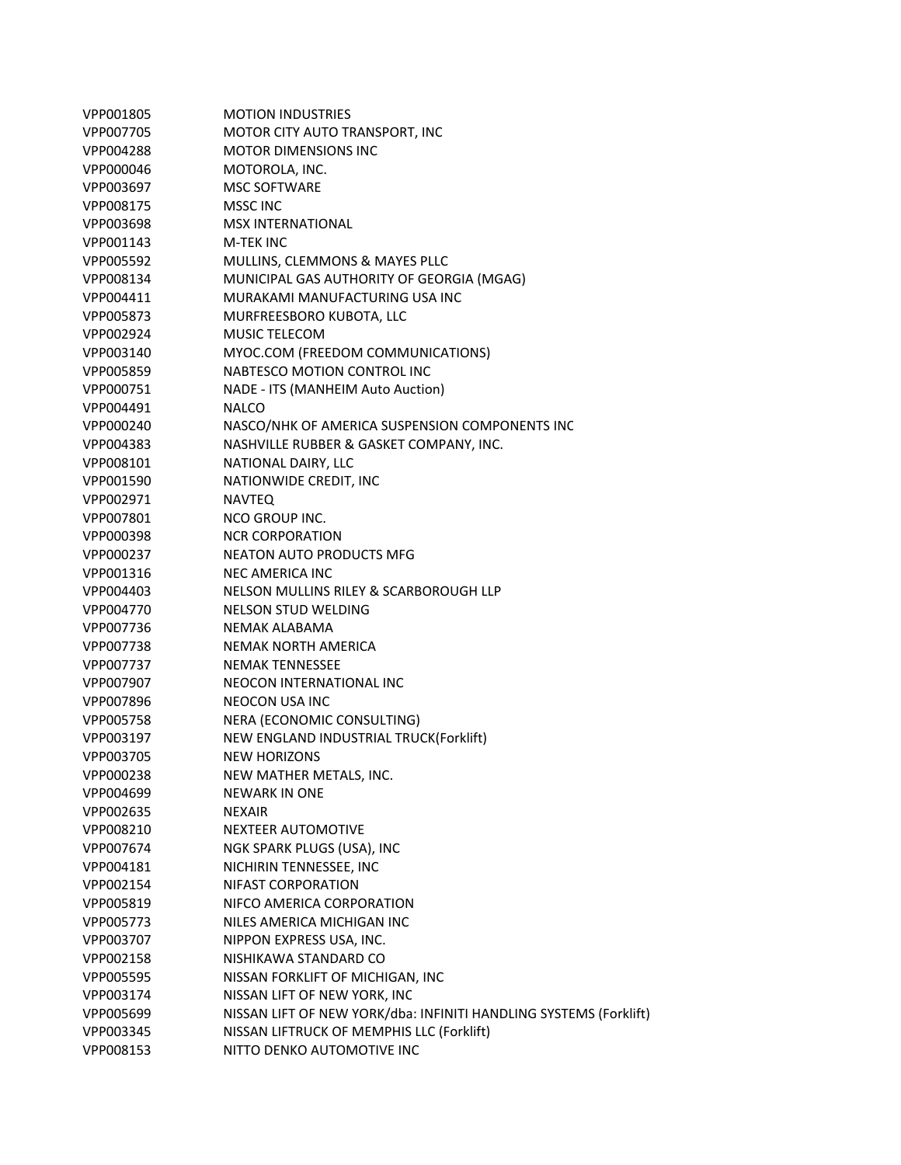| VPP001805 | <b>MOTION INDUSTRIES</b>                                          |
|-----------|-------------------------------------------------------------------|
| VPP007705 | MOTOR CITY AUTO TRANSPORT, INC                                    |
| VPP004288 | <b>MOTOR DIMENSIONS INC</b>                                       |
| VPP000046 | MOTOROLA, INC.                                                    |
| VPP003697 | <b>MSC SOFTWARE</b>                                               |
| VPP008175 | <b>MSSC INC</b>                                                   |
| VPP003698 | <b>MSX INTERNATIONAL</b>                                          |
| VPP001143 | <b>M-TEK INC</b>                                                  |
| VPP005592 | MULLINS, CLEMMONS & MAYES PLLC                                    |
| VPP008134 | MUNICIPAL GAS AUTHORITY OF GEORGIA (MGAG)                         |
| VPP004411 | MURAKAMI MANUFACTURING USA INC                                    |
| VPP005873 | MURFREESBORO KUBOTA, LLC                                          |
| VPP002924 | <b>MUSIC TELECOM</b>                                              |
| VPP003140 | MYOC.COM (FREEDOM COMMUNICATIONS)                                 |
| VPP005859 | NABTESCO MOTION CONTROL INC                                       |
| VPP000751 | NADE - ITS (MANHEIM Auto Auction)                                 |
| VPP004491 | <b>NALCO</b>                                                      |
| VPP000240 | NASCO/NHK OF AMERICA SUSPENSION COMPONENTS INC                    |
| VPP004383 | NASHVILLE RUBBER & GASKET COMPANY, INC.                           |
| VPP008101 | NATIONAL DAIRY, LLC                                               |
| VPP001590 | NATIONWIDE CREDIT, INC                                            |
| VPP002971 | <b>NAVTEQ</b>                                                     |
| VPP007801 | <b>NCO GROUP INC.</b>                                             |
| VPP000398 | <b>NCR CORPORATION</b>                                            |
| VPP000237 | <b>NEATON AUTO PRODUCTS MFG</b>                                   |
| VPP001316 | NEC AMERICA INC                                                   |
| VPP004403 | NELSON MULLINS RILEY & SCARBOROUGH LLP                            |
| VPP004770 | NELSON STUD WELDING                                               |
| VPP007736 | NEMAK ALABAMA                                                     |
| VPP007738 | NEMAK NORTH AMERICA                                               |
| VPP007737 | <b>NEMAK TENNESSEE</b>                                            |
| VPP007907 | NEOCON INTERNATIONAL INC                                          |
| VPP007896 | NEOCON USA INC                                                    |
| VPP005758 | NERA (ECONOMIC CONSULTING)                                        |
| VPP003197 | NEW ENGLAND INDUSTRIAL TRUCK(Forklift)                            |
| VPP003705 | <b>NEW HORIZONS</b>                                               |
| VPP000238 | NEW MATHER METALS, INC.                                           |
| VPP004699 | <b>NEWARK IN ONE</b>                                              |
| VPP002635 | <b>NEXAIR</b>                                                     |
| VPP008210 | <b>NEXTEER AUTOMOTIVE</b>                                         |
| VPP007674 | NGK SPARK PLUGS (USA), INC                                        |
| VPP004181 | NICHIRIN TENNESSEE, INC                                           |
| VPP002154 | NIFAST CORPORATION                                                |
| VPP005819 | NIFCO AMERICA CORPORATION                                         |
| VPP005773 | NILES AMERICA MICHIGAN INC                                        |
| VPP003707 | NIPPON EXPRESS USA, INC.                                          |
| VPP002158 | NISHIKAWA STANDARD CO                                             |
| VPP005595 | NISSAN FORKLIFT OF MICHIGAN, INC                                  |
| VPP003174 | NISSAN LIFT OF NEW YORK, INC                                      |
| VPP005699 | NISSAN LIFT OF NEW YORK/dba: INFINITI HANDLING SYSTEMS (Forklift) |
| VPP003345 | NISSAN LIFTRUCK OF MEMPHIS LLC (Forklift)                         |
| VPP008153 | NITTO DENKO AUTOMOTIVE INC                                        |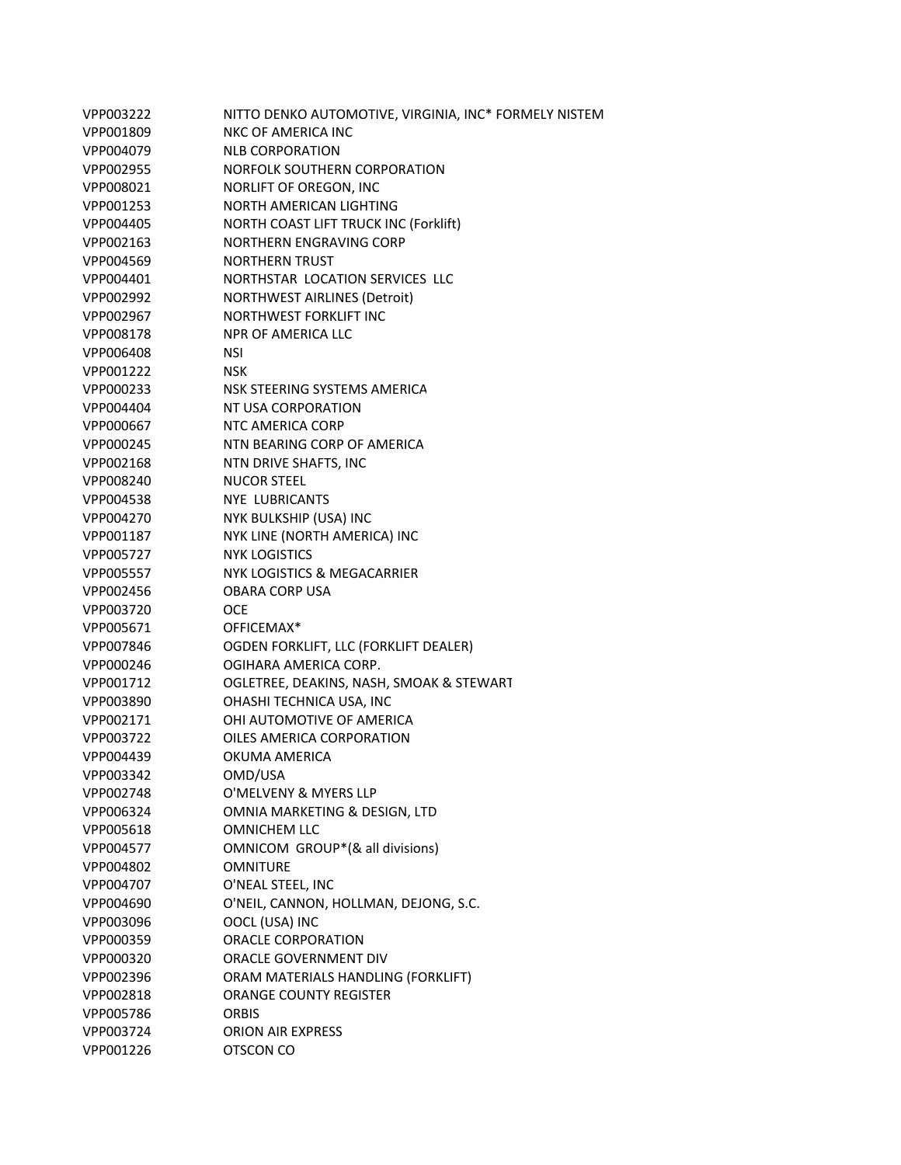| VPP003222 | NITTO DENKO AUTOMOTIVE, VIRGINIA, INC* FORMELY NISTEM |
|-----------|-------------------------------------------------------|
| VPP001809 | <b>NKC OF AMERICA INC</b>                             |
| VPP004079 | <b>NLB CORPORATION</b>                                |
| VPP002955 | NORFOLK SOUTHERN CORPORATION                          |
| VPP008021 | NORLIFT OF OREGON, INC                                |
| VPP001253 | NORTH AMERICAN LIGHTING                               |
| VPP004405 | <b>NORTH COAST LIFT TRUCK INC (Forklift)</b>          |
| VPP002163 | NORTHERN ENGRAVING CORP                               |
| VPP004569 | <b>NORTHERN TRUST</b>                                 |
| VPP004401 | NORTHSTAR LOCATION SERVICES LLC                       |
| VPP002992 | <b>NORTHWEST AIRLINES (Detroit)</b>                   |
| VPP002967 | <b>NORTHWEST FORKLIFT INC</b>                         |
| VPP008178 | <b>NPR OF AMERICA LLC</b>                             |
| VPP006408 | <b>NSI</b>                                            |
| VPP001222 | <b>NSK</b>                                            |
| VPP000233 | NSK STEERING SYSTEMS AMERICA                          |
| VPP004404 | NT USA CORPORATION                                    |
| VPP000667 | NTC AMERICA CORP                                      |
| VPP000245 | NTN BEARING CORP OF AMERICA                           |
| VPP002168 | NTN DRIVE SHAFTS, INC                                 |
| VPP008240 | <b>NUCOR STEEL</b>                                    |
| VPP004538 | <b>NYE LUBRICANTS</b>                                 |
| VPP004270 | NYK BULKSHIP (USA) INC                                |
| VPP001187 | NYK LINE (NORTH AMERICA) INC                          |
| VPP005727 | <b>NYK LOGISTICS</b>                                  |
| VPP005557 | NYK LOGISTICS & MEGACARRIER                           |
| VPP002456 | <b>OBARA CORP USA</b>                                 |
| VPP003720 | <b>OCE</b>                                            |
| VPP005671 | OFFICEMAX*                                            |
| VPP007846 | OGDEN FORKLIFT, LLC (FORKLIFT DEALER)                 |
| VPP000246 | OGIHARA AMERICA CORP.                                 |
| VPP001712 | OGLETREE, DEAKINS, NASH, SMOAK & STEWART              |
| VPP003890 | OHASHI TECHNICA USA, INC                              |
| VPP002171 | OHI AUTOMOTIVE OF AMERICA                             |
| VPP003722 | OILES AMERICA CORPORATION                             |
| VPP004439 | OKUMA AMERICA                                         |
| VPP003342 | OMD/USA                                               |
| VPP002748 | O'MELVENY & MYERS LLP                                 |
| VPP006324 | OMNIA MARKETING & DESIGN, LTD                         |
| VPP005618 | <b>OMNICHEM LLC</b>                                   |
| VPP004577 | OMNICOM GROUP*(& all divisions)                       |
| VPP004802 | <b>OMNITURE</b>                                       |
| VPP004707 | O'NEAL STEEL, INC                                     |
| VPP004690 | O'NEIL, CANNON, HOLLMAN, DEJONG, S.C.                 |
| VPP003096 | OOCL (USA) INC                                        |
| VPP000359 | ORACLE CORPORATION                                    |
| VPP000320 | ORACLE GOVERNMENT DIV                                 |
| VPP002396 | ORAM MATERIALS HANDLING (FORKLIFT)                    |
| VPP002818 | <b>ORANGE COUNTY REGISTER</b>                         |
| VPP005786 | <b>ORBIS</b>                                          |
| VPP003724 | <b>ORION AIR EXPRESS</b>                              |
| VPP001226 | OTSCON CO                                             |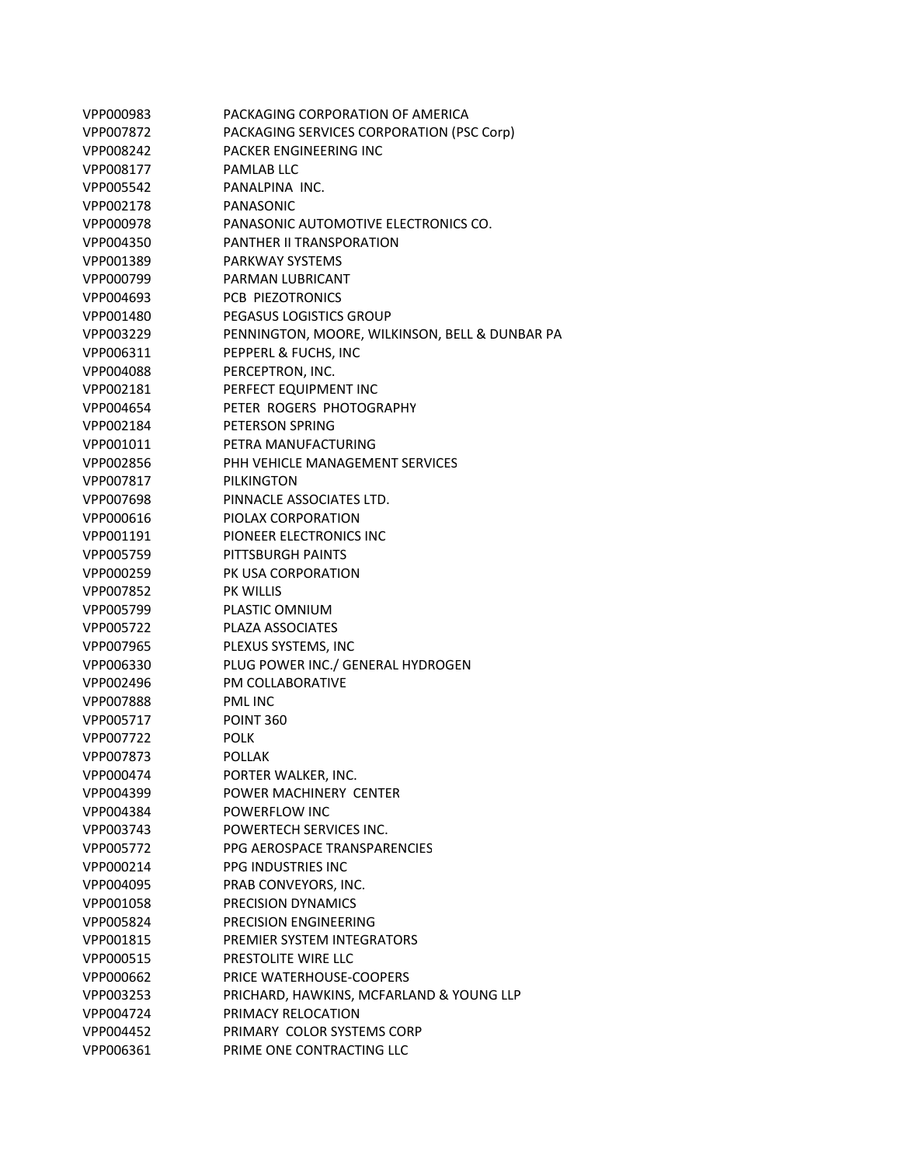| VPP000983 | PACKAGING CORPORATION OF AMERICA               |
|-----------|------------------------------------------------|
| VPP007872 | PACKAGING SERVICES CORPORATION (PSC Corp)      |
| VPP008242 | PACKER ENGINEERING INC                         |
| VPP008177 | PAMLAB LLC                                     |
| VPP005542 | PANALPINA INC.                                 |
| VPP002178 | PANASONIC                                      |
| VPP000978 | PANASONIC AUTOMOTIVE ELECTRONICS CO.           |
| VPP004350 | <b>PANTHER II TRANSPORATION</b>                |
| VPP001389 | PARKWAY SYSTEMS                                |
| VPP000799 | PARMAN LUBRICANT                               |
| VPP004693 | <b>PCB PIEZOTRONICS</b>                        |
| VPP001480 | PEGASUS LOGISTICS GROUP                        |
| VPP003229 | PENNINGTON, MOORE, WILKINSON, BELL & DUNBAR PA |
| VPP006311 | PEPPERL & FUCHS, INC                           |
| VPP004088 | PERCEPTRON, INC.                               |
| VPP002181 | PERFECT EQUIPMENT INC                          |
| VPP004654 | PETER ROGERS PHOTOGRAPHY                       |
| VPP002184 | PETERSON SPRING                                |
| VPP001011 | PETRA MANUFACTURING                            |
| VPP002856 | PHH VEHICLE MANAGEMENT SERVICES                |
| VPP007817 | PILKINGTON                                     |
| VPP007698 | PINNACLE ASSOCIATES LTD.                       |
| VPP000616 | PIOLAX CORPORATION                             |
| VPP001191 | PIONEER ELECTRONICS INC                        |
| VPP005759 | PITTSBURGH PAINTS                              |
| VPP000259 | PK USA CORPORATION                             |
| VPP007852 | <b>PK WILLIS</b>                               |
| VPP005799 | PLASTIC OMNIUM                                 |
| VPP005722 | PLAZA ASSOCIATES                               |
| VPP007965 | PLEXUS SYSTEMS, INC                            |
| VPP006330 | PLUG POWER INC./ GENERAL HYDROGEN              |
| VPP002496 | <b>PM COLLABORATIVE</b>                        |
| VPP007888 | <b>PMLINC</b>                                  |
| VPP005717 | <b>POINT 360</b>                               |
| VPP007722 | POLK                                           |
| VPP007873 | <b>POLLAK</b>                                  |
| VPP000474 | PORTER WALKER, INC.                            |
| VPP004399 | POWER MACHINERY CENTER                         |
| VPP004384 | POWERFLOW INC                                  |
| VPP003743 | POWERTECH SERVICES INC.                        |
| VPP005772 | PPG AEROSPACE TRANSPARENCIES                   |
| VPP000214 | PPG INDUSTRIES INC                             |
| VPP004095 | PRAB CONVEYORS, INC.                           |
| VPP001058 | PRECISION DYNAMICS                             |
| VPP005824 | PRECISION ENGINEERING                          |
| VPP001815 | PREMIER SYSTEM INTEGRATORS                     |
| VPP000515 | PRESTOLITE WIRE LLC                            |
| VPP000662 | PRICE WATERHOUSE-COOPERS                       |
| VPP003253 | PRICHARD, HAWKINS, MCFARLAND & YOUNG LLP       |
| VPP004724 | PRIMACY RELOCATION                             |
| VPP004452 | PRIMARY COLOR SYSTEMS CORP                     |
| VPP006361 | PRIME ONE CONTRACTING LLC                      |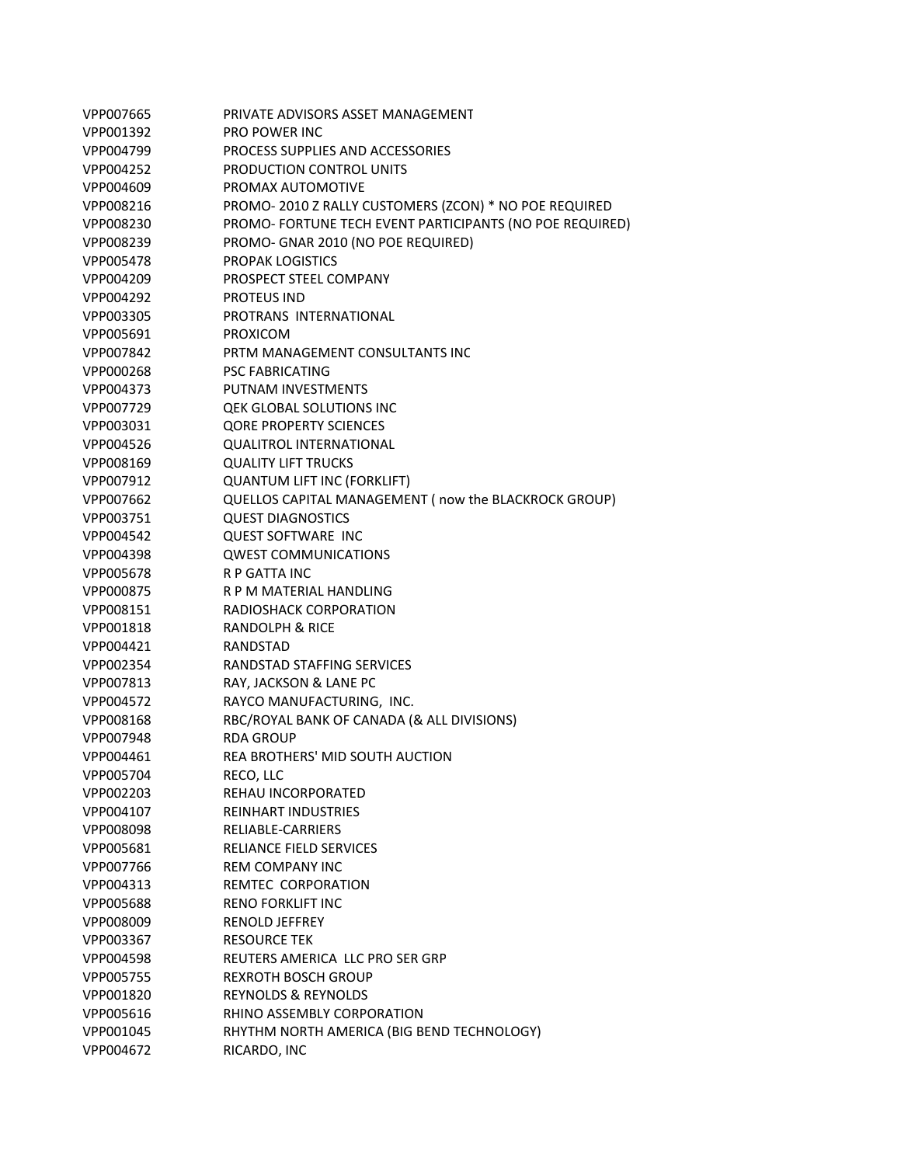| VPP007665 | PRIVATE ADVISORS ASSET MANAGEMENT                        |
|-----------|----------------------------------------------------------|
| VPP001392 | <b>PRO POWER INC</b>                                     |
| VPP004799 | PROCESS SUPPLIES AND ACCESSORIES                         |
| VPP004252 | PRODUCTION CONTROL UNITS                                 |
| VPP004609 | PROMAX AUTOMOTIVE                                        |
| VPP008216 | PROMO-2010 Z RALLY CUSTOMERS (ZCON) * NO POE REQUIRED    |
| VPP008230 | PROMO- FORTUNE TECH EVENT PARTICIPANTS (NO POE REQUIRED) |
| VPP008239 | PROMO- GNAR 2010 (NO POE REQUIRED)                       |
| VPP005478 | <b>PROPAK LOGISTICS</b>                                  |
| VPP004209 | PROSPECT STEEL COMPANY                                   |
| VPP004292 | <b>PROTEUS IND</b>                                       |
| VPP003305 | PROTRANS INTERNATIONAL                                   |
| VPP005691 | <b>PROXICOM</b>                                          |
| VPP007842 | PRTM MANAGEMENT CONSULTANTS INC                          |
| VPP000268 | <b>PSC FABRICATING</b>                                   |
| VPP004373 | PUTNAM INVESTMENTS                                       |
| VPP007729 | <b>QEK GLOBAL SOLUTIONS INC</b>                          |
| VPP003031 | <b>QORE PROPERTY SCIENCES</b>                            |
| VPP004526 | <b>QUALITROL INTERNATIONAL</b>                           |
| VPP008169 | <b>QUALITY LIFT TRUCKS</b>                               |
| VPP007912 | <b>QUANTUM LIFT INC (FORKLIFT)</b>                       |
| VPP007662 | QUELLOS CAPITAL MANAGEMENT (now the BLACKROCK GROUP)     |
| VPP003751 | <b>QUEST DIAGNOSTICS</b>                                 |
| VPP004542 | <b>QUEST SOFTWARE INC</b>                                |
| VPP004398 | <b>QWEST COMMUNICATIONS</b>                              |
| VPP005678 | <b>R P GATTA INC</b>                                     |
| VPP000875 | R P M MATERIAL HANDLING                                  |
| VPP008151 | RADIOSHACK CORPORATION                                   |
| VPP001818 | RANDOLPH & RICE                                          |
| VPP004421 | RANDSTAD                                                 |
| VPP002354 | RANDSTAD STAFFING SERVICES                               |
| VPP007813 | RAY, JACKSON & LANE PC                                   |
| VPP004572 | RAYCO MANUFACTURING, INC.                                |
| VPP008168 | RBC/ROYAL BANK OF CANADA (& ALL DIVISIONS)               |
| VPP007948 | <b>RDA GROUP</b>                                         |
| VPP004461 | <b>REA BROTHERS' MID SOUTH AUCTION</b>                   |
| VPP005704 | RECO, LLC                                                |
| VPP002203 | REHAU INCORPORATED                                       |
| VPP004107 | <b>REINHART INDUSTRIES</b>                               |
| VPP008098 | RELIABLE-CARRIERS                                        |
| VPP005681 | RELIANCE FIELD SERVICES                                  |
| VPP007766 | <b>REM COMPANY INC</b>                                   |
| VPP004313 | REMTEC CORPORATION                                       |
| VPP005688 | <b>RENO FORKLIFT INC</b>                                 |
| VPP008009 | <b>RENOLD JEFFREY</b>                                    |
| VPP003367 | <b>RESOURCE TEK</b>                                      |
| VPP004598 | REUTERS AMERICA LLC PRO SER GRP                          |
| VPP005755 | <b>REXROTH BOSCH GROUP</b>                               |
| VPP001820 | <b>REYNOLDS &amp; REYNOLDS</b>                           |
| VPP005616 | RHINO ASSEMBLY CORPORATION                               |
| VPP001045 | RHYTHM NORTH AMERICA (BIG BEND TECHNOLOGY)               |
| VPP004672 | RICARDO, INC                                             |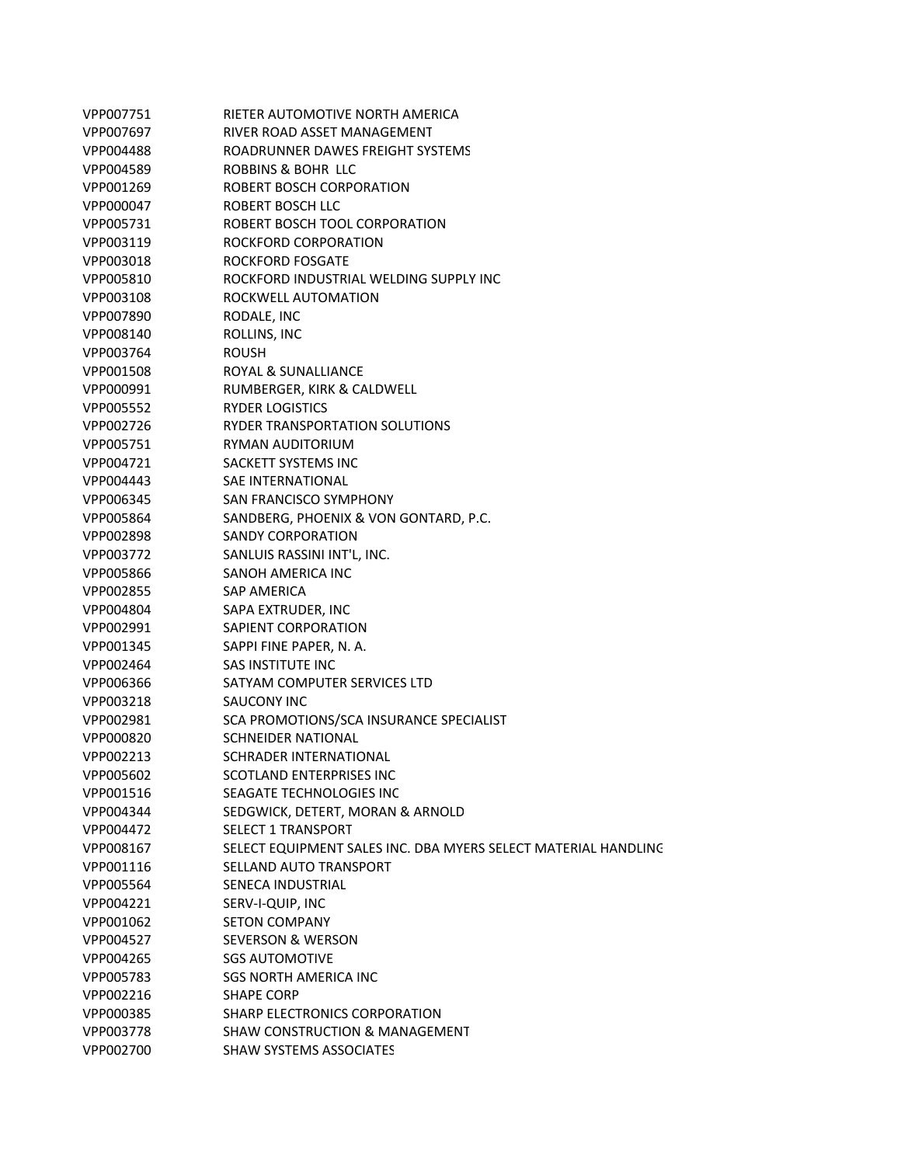| VPP007751 | RIETER AUTOMOTIVE NORTH AMERICA                                |
|-----------|----------------------------------------------------------------|
| VPP007697 | RIVER ROAD ASSET MANAGEMENT                                    |
| VPP004488 | ROADRUNNER DAWES FREIGHT SYSTEMS                               |
| VPP004589 | ROBBINS & BOHR LLC                                             |
| VPP001269 | ROBERT BOSCH CORPORATION                                       |
| VPP000047 | ROBERT BOSCH LLC                                               |
| VPP005731 | ROBERT BOSCH TOOL CORPORATION                                  |
| VPP003119 | ROCKFORD CORPORATION                                           |
| VPP003018 | ROCKFORD FOSGATE                                               |
| VPP005810 | ROCKFORD INDUSTRIAL WELDING SUPPLY INC                         |
| VPP003108 | ROCKWELL AUTOMATION                                            |
| VPP007890 | RODALE, INC                                                    |
| VPP008140 | ROLLINS, INC                                                   |
| VPP003764 | ROUSH                                                          |
| VPP001508 | ROYAL & SUNALLIANCE                                            |
| VPP000991 | RUMBERGER, KIRK & CALDWELL                                     |
| VPP005552 | RYDER LOGISTICS                                                |
| VPP002726 | RYDER TRANSPORTATION SOLUTIONS                                 |
| VPP005751 | RYMAN AUDITORIUM                                               |
| VPP004721 | SACKETT SYSTEMS INC                                            |
| VPP004443 | SAE INTERNATIONAL                                              |
| VPP006345 | SAN FRANCISCO SYMPHONY                                         |
| VPP005864 | SANDBERG, PHOENIX & VON GONTARD, P.C.                          |
| VPP002898 | <b>SANDY CORPORATION</b>                                       |
| VPP003772 | SANLUIS RASSINI INT'L, INC.                                    |
| VPP005866 | SANOH AMERICA INC                                              |
| VPP002855 | SAP AMERICA                                                    |
| VPP004804 | SAPA EXTRUDER, INC                                             |
| VPP002991 | SAPIENT CORPORATION                                            |
| VPP001345 | SAPPI FINE PAPER, N. A.                                        |
| VPP002464 | SAS INSTITUTE INC                                              |
| VPP006366 | SATYAM COMPUTER SERVICES LTD                                   |
| VPP003218 | SAUCONY INC                                                    |
| VPP002981 | SCA PROMOTIONS/SCA INSURANCE SPECIALIST                        |
| VPP000820 | <b>SCHNEIDER NATIONAL</b>                                      |
| VPP002213 | SCHRADER INTERNATIONAL                                         |
| VPP005602 | SCOTLAND ENTERPRISES INC                                       |
| VPP001516 | SEAGATE TECHNOLOGIES INC                                       |
| VPP004344 | SEDGWICK, DETERT, MORAN & ARNOLD                               |
| VPP004472 | <b>SELECT 1 TRANSPORT</b>                                      |
| VPP008167 | SELECT EQUIPMENT SALES INC. DBA MYERS SELECT MATERIAL HANDLING |
| VPP001116 | SELLAND AUTO TRANSPORT                                         |
| VPP005564 | SENECA INDUSTRIAL                                              |
| VPP004221 | SERV-I-QUIP, INC                                               |
| VPP001062 | <b>SETON COMPANY</b>                                           |
| VPP004527 | <b>SEVERSON &amp; WERSON</b>                                   |
| VPP004265 | <b>SGS AUTOMOTIVE</b>                                          |
| VPP005783 | SGS NORTH AMERICA INC                                          |
| VPP002216 | <b>SHAPE CORP</b>                                              |
| VPP000385 | SHARP ELECTRONICS CORPORATION                                  |
| VPP003778 | <b>SHAW CONSTRUCTION &amp; MANAGEMENT</b>                      |
| VPP002700 | <b>SHAW SYSTEMS ASSOCIATES</b>                                 |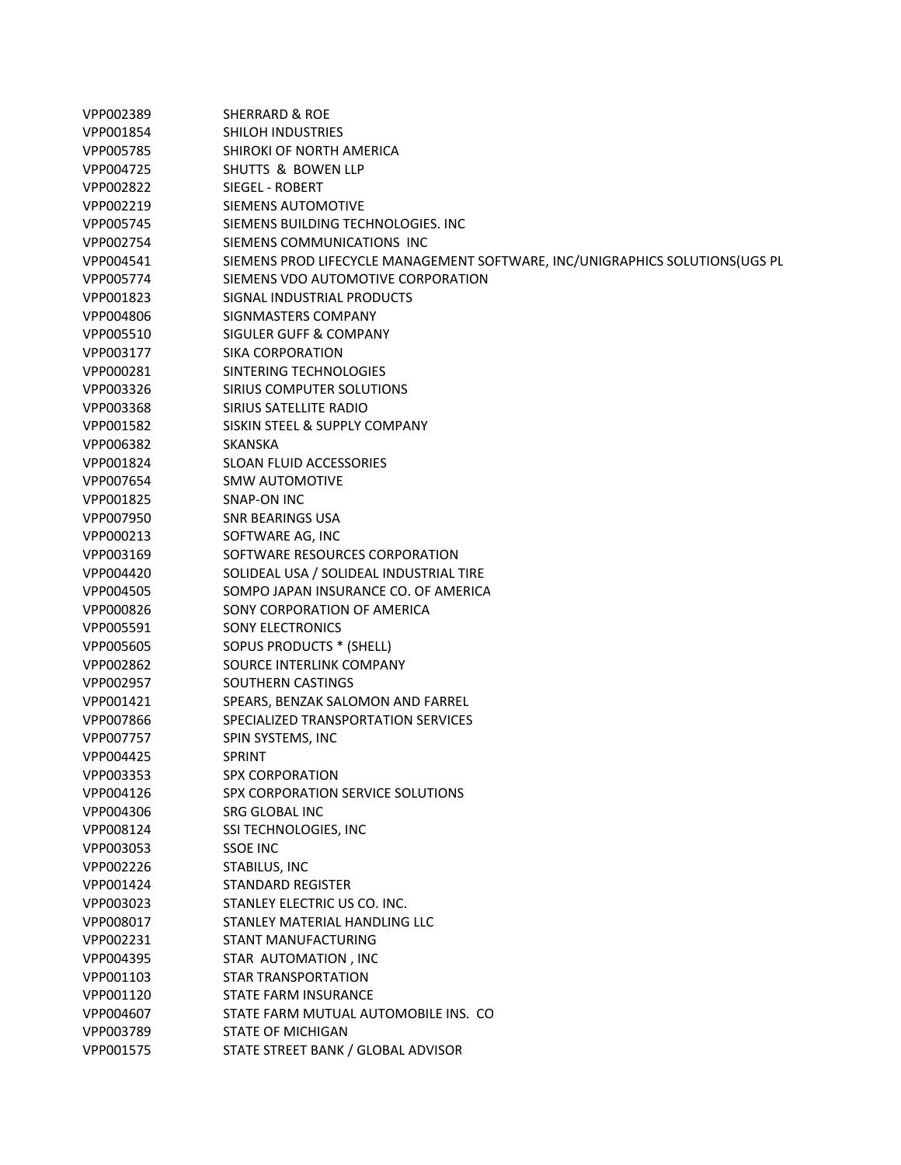| VPP002389 | <b>SHERRARD &amp; ROE</b>                                                    |
|-----------|------------------------------------------------------------------------------|
| VPP001854 | <b>SHILOH INDUSTRIES</b>                                                     |
| VPP005785 | SHIROKI OF NORTH AMERICA                                                     |
| VPP004725 | <b>SHUTTS &amp; BOWEN LLP</b>                                                |
| VPP002822 | SIEGEL - ROBERT                                                              |
| VPP002219 | SIEMENS AUTOMOTIVE                                                           |
| VPP005745 | SIEMENS BUILDING TECHNOLOGIES. INC                                           |
| VPP002754 | SIEMENS COMMUNICATIONS INC                                                   |
| VPP004541 | SIEMENS PROD LIFECYCLE MANAGEMENT SOFTWARE, INC/UNIGRAPHICS SOLUTIONS(UGS PL |
| VPP005774 | SIEMENS VDO AUTOMOTIVE CORPORATION                                           |
| VPP001823 | SIGNAL INDUSTRIAL PRODUCTS                                                   |
| VPP004806 | SIGNMASTERS COMPANY                                                          |
| VPP005510 | SIGULER GUFF & COMPANY                                                       |
| VPP003177 | SIKA CORPORATION                                                             |
| VPP000281 | SINTERING TECHNOLOGIES                                                       |
| VPP003326 | SIRIUS COMPUTER SOLUTIONS                                                    |
| VPP003368 | SIRIUS SATELLITE RADIO                                                       |
| VPP001582 | SISKIN STEEL & SUPPLY COMPANY                                                |
| VPP006382 | <b>SKANSKA</b>                                                               |
| VPP001824 | <b>SLOAN FLUID ACCESSORIES</b>                                               |
| VPP007654 | <b>SMW AUTOMOTIVE</b>                                                        |
| VPP001825 | SNAP-ON INC                                                                  |
| VPP007950 | <b>SNR BEARINGS USA</b>                                                      |
| VPP000213 | SOFTWARE AG, INC                                                             |
| VPP003169 | SOFTWARE RESOURCES CORPORATION                                               |
| VPP004420 | SOLIDEAL USA / SOLIDEAL INDUSTRIAL TIRE                                      |
| VPP004505 | SOMPO JAPAN INSURANCE CO. OF AMERICA                                         |
| VPP000826 | SONY CORPORATION OF AMERICA                                                  |
| VPP005591 | <b>SONY ELECTRONICS</b>                                                      |
| VPP005605 | SOPUS PRODUCTS * (SHELL)                                                     |
| VPP002862 | SOURCE INTERLINK COMPANY                                                     |
| VPP002957 | SOUTHERN CASTINGS                                                            |
| VPP001421 | SPEARS, BENZAK SALOMON AND FARREL                                            |
| VPP007866 | SPECIALIZED TRANSPORTATION SERVICES                                          |
| VPP007757 | SPIN SYSTEMS, INC                                                            |
| VPP004425 | <b>SPRINT</b>                                                                |
| VPP003353 | <b>SPX CORPORATION</b>                                                       |
| VPP004126 | SPX CORPORATION SERVICE SOLUTIONS                                            |
| VPP004306 | SRG GLOBAL INC                                                               |
| VPP008124 | SSI TECHNOLOGIES, INC                                                        |
| VPP003053 | <b>SSOE INC</b>                                                              |
| VPP002226 | STABILUS, INC                                                                |
| VPP001424 | STANDARD REGISTER                                                            |
| VPP003023 | STANLEY ELECTRIC US CO. INC.                                                 |
| VPP008017 | STANLEY MATERIAL HANDLING LLC                                                |
| VPP002231 | <b>STANT MANUFACTURING</b>                                                   |
| VPP004395 | STAR AUTOMATION, INC                                                         |
| VPP001103 | <b>STAR TRANSPORTATION</b>                                                   |
| VPP001120 | <b>STATE FARM INSURANCE</b>                                                  |
| VPP004607 | STATE FARM MUTUAL AUTOMOBILE INS. CO                                         |
| VPP003789 | <b>STATE OF MICHIGAN</b>                                                     |
| VPP001575 | STATE STREET BANK / GLOBAL ADVISOR                                           |
|           |                                                                              |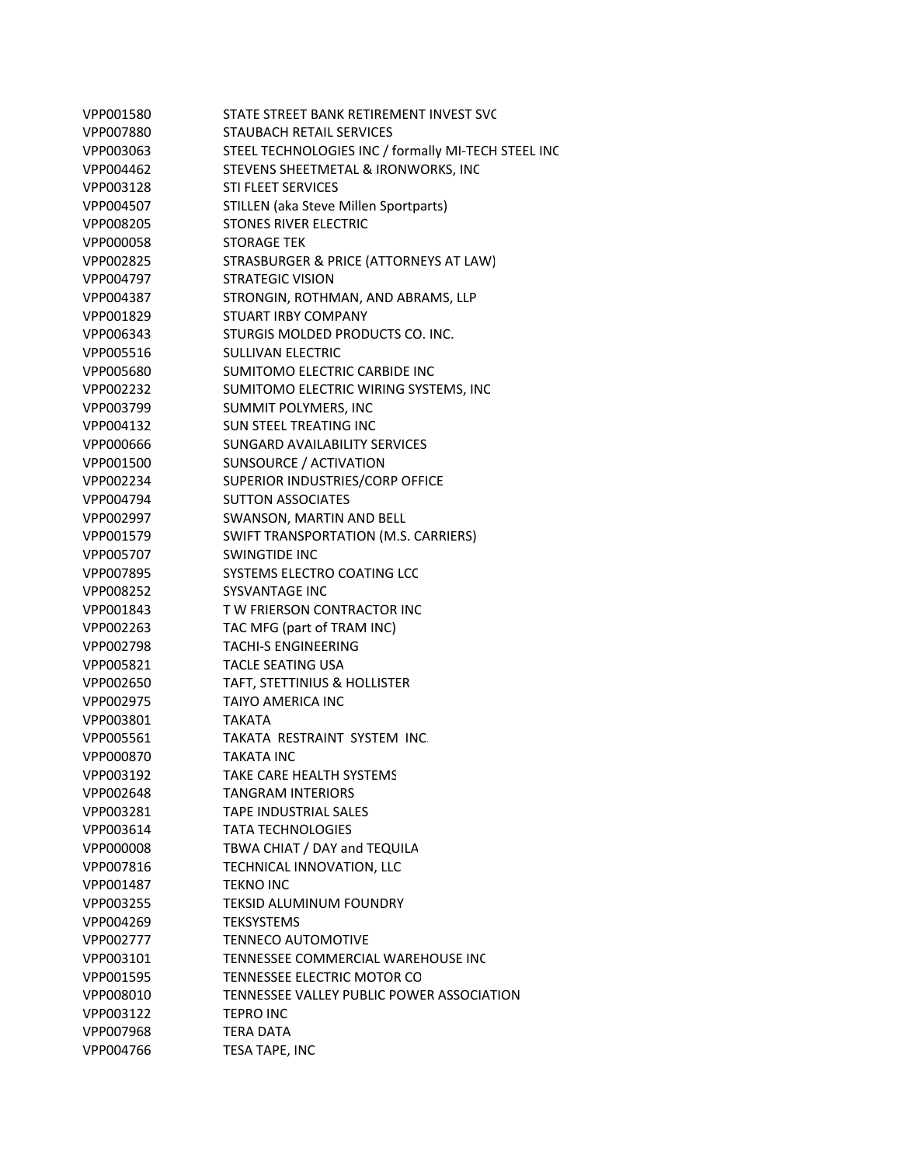| VPP001580 | STATE STREET BANK RETIREMENT INVEST SVC             |
|-----------|-----------------------------------------------------|
| VPP007880 | <b>STAUBACH RETAIL SERVICES</b>                     |
| VPP003063 | STEEL TECHNOLOGIES INC / formally MI-TECH STEEL INC |
| VPP004462 | STEVENS SHEETMETAL & IRONWORKS, INC                 |
| VPP003128 | <b>STI FLEET SERVICES</b>                           |
| VPP004507 | STILLEN (aka Steve Millen Sportparts)               |
| VPP008205 | STONES RIVER ELECTRIC                               |
| VPP000058 | <b>STORAGE TEK</b>                                  |
| VPP002825 | STRASBURGER & PRICE (ATTORNEYS AT LAW)              |
| VPP004797 | <b>STRATEGIC VISION</b>                             |
| VPP004387 | STRONGIN, ROTHMAN, AND ABRAMS, LLP                  |
| VPP001829 | <b>STUART IRBY COMPANY</b>                          |
| VPP006343 | STURGIS MOLDED PRODUCTS CO. INC.                    |
| VPP005516 | <b>SULLIVAN ELECTRIC</b>                            |
| VPP005680 | SUMITOMO ELECTRIC CARBIDE INC                       |
| VPP002232 | SUMITOMO ELECTRIC WIRING SYSTEMS, INC               |
| VPP003799 | SUMMIT POLYMERS, INC                                |
| VPP004132 | <b>SUN STEEL TREATING INC</b>                       |
| VPP000666 | SUNGARD AVAILABILITY SERVICES                       |
| VPP001500 | SUNSOURCE / ACTIVATION                              |
| VPP002234 | SUPERIOR INDUSTRIES/CORP OFFICE                     |
| VPP004794 | <b>SUTTON ASSOCIATES</b>                            |
| VPP002997 | SWANSON, MARTIN AND BELL                            |
| VPP001579 | SWIFT TRANSPORTATION (M.S. CARRIERS)                |
| VPP005707 | <b>SWINGTIDE INC</b>                                |
| VPP007895 | SYSTEMS ELECTRO COATING LCC                         |
| VPP008252 | <b>SYSVANTAGE INC</b>                               |
| VPP001843 | TW FRIERSON CONTRACTOR INC                          |
| VPP002263 | TAC MFG (part of TRAM INC)                          |
| VPP002798 | <b>TACHI-S ENGINEERING</b>                          |
| VPP005821 | <b>TACLE SEATING USA</b>                            |
| VPP002650 | TAFT, STETTINIUS & HOLLISTER                        |
| VPP002975 | <b>TAIYO AMERICA INC</b>                            |
| VPP003801 | <b>TAKATA</b>                                       |
| VPP005561 | TAKATA RESTRAINT SYSTEM INC.                        |
| VPP000870 | <b>TAKATA INC</b>                                   |
| VPP003192 | <b>TAKE CARE HEALTH SYSTEMS</b>                     |
| VPP002648 | <b>TANGRAM INTERIORS</b>                            |
| VPP003281 | <b>TAPE INDUSTRIAL SALES</b>                        |
| VPP003614 | <b>TATA TECHNOLOGIES</b>                            |
| VPP000008 | TBWA CHIAT / DAY and TEQUILA                        |
| VPP007816 | TECHNICAL INNOVATION, LLC                           |
| VPP001487 | <b>TEKNO INC</b>                                    |
| VPP003255 | <b>TEKSID ALUMINUM FOUNDRY</b>                      |
| VPP004269 | <b>TEKSYSTEMS</b>                                   |
| VPP002777 | <b>TENNECO AUTOMOTIVE</b>                           |
| VPP003101 | TENNESSEE COMMERCIAL WAREHOUSE INC                  |
| VPP001595 | TENNESSEE ELECTRIC MOTOR CO                         |
| VPP008010 | TENNESSEE VALLEY PUBLIC POWER ASSOCIATION           |
| VPP003122 | <b>TEPRO INC</b>                                    |
| VPP007968 | TERA DATA                                           |
| VPP004766 | TESA TAPE, INC                                      |
|           |                                                     |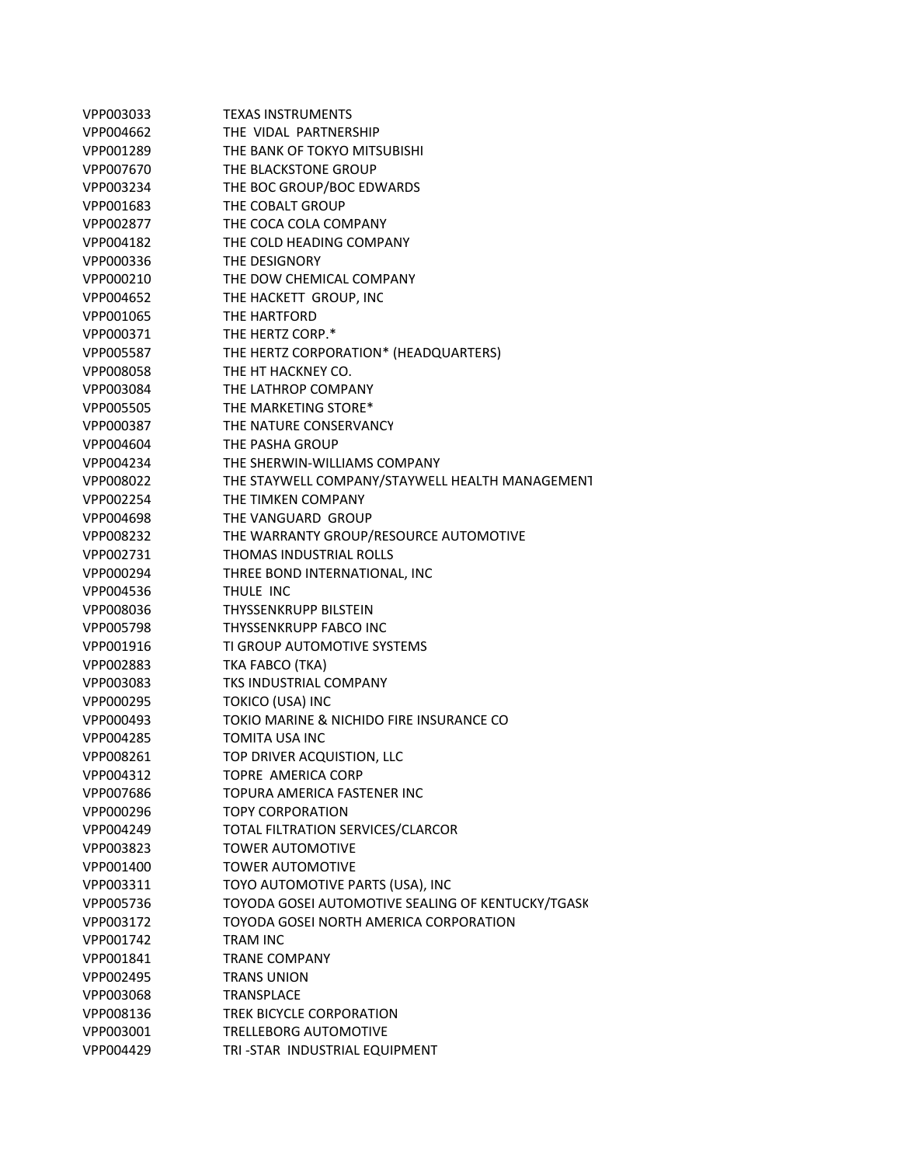| VPP003033 | <b>TEXAS INSTRUMENTS</b>                          |
|-----------|---------------------------------------------------|
| VPP004662 | THE VIDAL PARTNERSHIP                             |
| VPP001289 | THE BANK OF TOKYO MITSUBISHI                      |
| VPP007670 | THE BLACKSTONE GROUP                              |
| VPP003234 | THE BOC GROUP/BOC EDWARDS                         |
| VPP001683 | THE COBALT GROUP                                  |
| VPP002877 | THE COCA COLA COMPANY                             |
| VPP004182 | THE COLD HEADING COMPANY                          |
| VPP000336 | THE DESIGNORY                                     |
| VPP000210 | THE DOW CHEMICAL COMPANY                          |
| VPP004652 | THE HACKETT GROUP, INC                            |
| VPP001065 | THE HARTFORD                                      |
| VPP000371 | THE HERTZ CORP.*                                  |
| VPP005587 | THE HERTZ CORPORATION* (HEADQUARTERS)             |
| VPP008058 | THE HT HACKNEY CO.                                |
| VPP003084 | THE LATHROP COMPANY                               |
| VPP005505 | THE MARKETING STORE*                              |
| VPP000387 | THE NATURE CONSERVANCY                            |
| VPP004604 | THE PASHA GROUP                                   |
| VPP004234 | THE SHERWIN-WILLIAMS COMPANY                      |
| VPP008022 | THE STAYWELL COMPANY/STAYWELL HEALTH MANAGEMENT   |
| VPP002254 | THE TIMKEN COMPANY                                |
| VPP004698 | THE VANGUARD GROUP                                |
| VPP008232 | THE WARRANTY GROUP/RESOURCE AUTOMOTIVE            |
| VPP002731 | <b>THOMAS INDUSTRIAL ROLLS</b>                    |
| VPP000294 | THREE BOND INTERNATIONAL, INC                     |
| VPP004536 | THULE INC                                         |
| VPP008036 | THYSSENKRUPP BILSTEIN                             |
| VPP005798 | <b>THYSSENKRUPP FABCO INC</b>                     |
| VPP001916 | TI GROUP AUTOMOTIVE SYSTEMS                       |
| VPP002883 | TKA FABCO (TKA)                                   |
| VPP003083 | <b>TKS INDUSTRIAL COMPANY</b>                     |
| VPP000295 | TOKICO (USA) INC                                  |
| VPP000493 | TOKIO MARINE & NICHIDO FIRE INSURANCE CO          |
| VPP004285 | TOMITA USA INC                                    |
| VPP008261 | TOP DRIVER ACQUISTION, LLC                        |
| VPP004312 | TOPRE AMERICA CORP                                |
| VPP007686 | TOPURA AMERICA FASTENER INC                       |
| VPP000296 | <b>TOPY CORPORATION</b>                           |
| VPP004249 | TOTAL FILTRATION SERVICES/CLARCOR                 |
| VPP003823 | <b>TOWER AUTOMOTIVE</b>                           |
| VPP001400 | <b>TOWER AUTOMOTIVE</b>                           |
| VPP003311 | TOYO AUTOMOTIVE PARTS (USA), INC                  |
| VPP005736 | TOYODA GOSEI AUTOMOTIVE SEALING OF KENTUCKY/TGASK |
| VPP003172 | TOYODA GOSEI NORTH AMERICA CORPORATION            |
| VPP001742 | <b>TRAM INC</b>                                   |
| VPP001841 | <b>TRANE COMPANY</b>                              |
| VPP002495 | <b>TRANS UNION</b>                                |
| VPP003068 | <b>TRANSPLACE</b>                                 |
| VPP008136 | TREK BICYCLE CORPORATION                          |
| VPP003001 | <b>TRELLEBORG AUTOMOTIVE</b>                      |
| VPP004429 | TRI-STAR INDUSTRIAL EQUIPMENT                     |
|           |                                                   |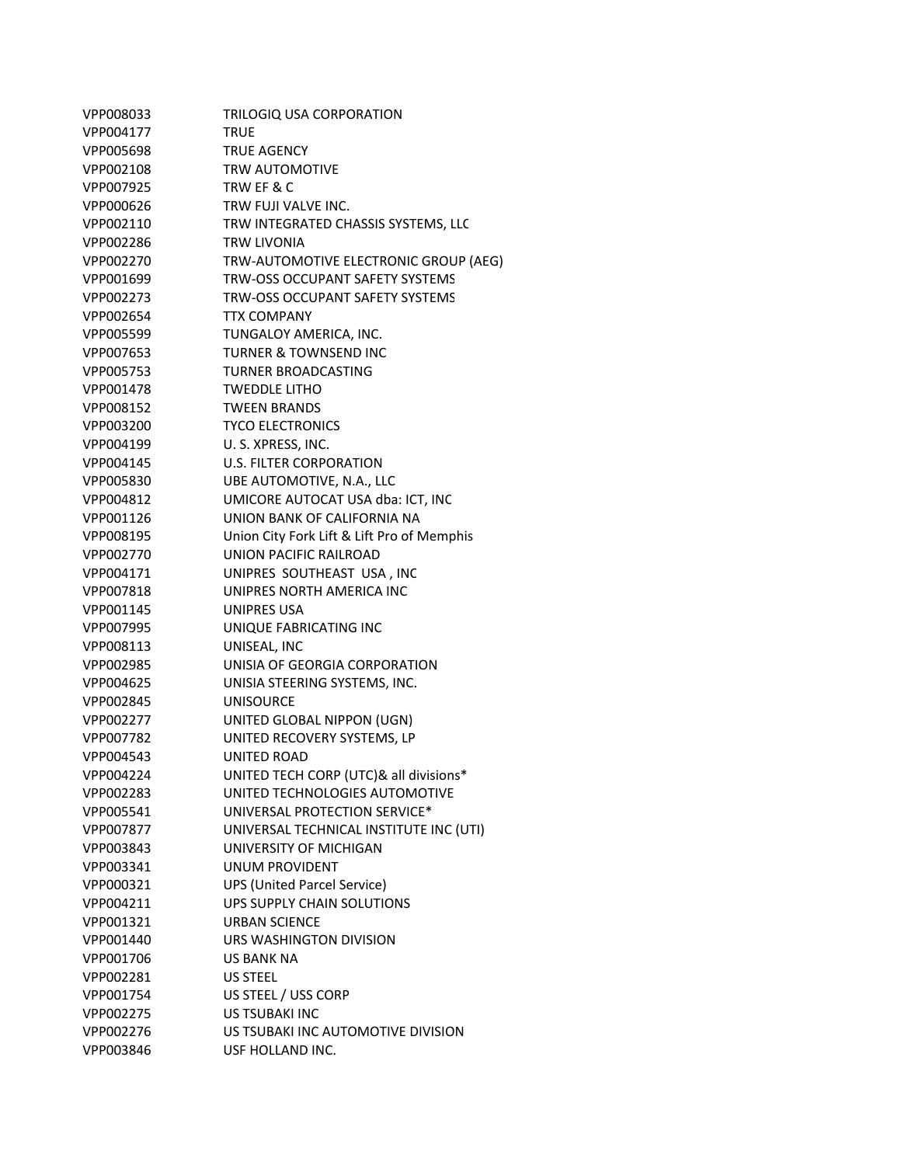| VPP008033 | TRILOGIQ USA CORPORATION                   |
|-----------|--------------------------------------------|
| VPP004177 | TRUE                                       |
| VPP005698 | TRUE AGENCY                                |
| VPP002108 | <b>TRW AUTOMOTIVE</b>                      |
| VPP007925 | TRW EF & C                                 |
| VPP000626 | TRW FUJI VALVE INC.                        |
| VPP002110 | TRW INTEGRATED CHASSIS SYSTEMS, LLC        |
| VPP002286 | TRW LIVONIA                                |
| VPP002270 | TRW-AUTOMOTIVE ELECTRONIC GROUP (AEG)      |
| VPP001699 | TRW-OSS OCCUPANT SAFETY SYSTEMS            |
| VPP002273 | TRW-OSS OCCUPANT SAFETY SYSTEMS            |
| VPP002654 | <b>TTX COMPANY</b>                         |
| VPP005599 | TUNGALOY AMERICA, INC.                     |
| VPP007653 | TURNER & TOWNSEND INC                      |
| VPP005753 | TURNER BROADCASTING                        |
| VPP001478 | <b>TWEDDLE LITHO</b>                       |
| VPP008152 | <b>TWEEN BRANDS</b>                        |
| VPP003200 | <b>TYCO ELECTRONICS</b>                    |
| VPP004199 | U.S. XPRESS, INC.                          |
| VPP004145 | <b>U.S. FILTER CORPORATION</b>             |
| VPP005830 | UBE AUTOMOTIVE, N.A., LLC                  |
| VPP004812 | UMICORE AUTOCAT USA dba: ICT, INC          |
| VPP001126 | UNION BANK OF CALIFORNIA NA                |
| VPP008195 | Union City Fork Lift & Lift Pro of Memphis |
| VPP002770 | UNION PACIFIC RAILROAD                     |
| VPP004171 | UNIPRES SOUTHEAST USA, INC                 |
| VPP007818 | UNIPRES NORTH AMERICA INC                  |
| VPP001145 | UNIPRES USA                                |
| VPP007995 | UNIQUE FABRICATING INC                     |
| VPP008113 | UNISEAL, INC                               |
| VPP002985 | UNISIA OF GEORGIA CORPORATION              |
| VPP004625 | UNISIA STEERING SYSTEMS, INC.              |
| VPP002845 | <b>UNISOURCE</b>                           |
| VPP002277 | UNITED GLOBAL NIPPON (UGN)                 |
| VPP007782 | UNITED RECOVERY SYSTEMS, LP                |
| VPP004543 | <b>UNITED ROAD</b>                         |
| VPP004224 | UNITED TECH CORP (UTC)& all divisions*     |
| VPP002283 | UNITED TECHNOLOGIES AUTOMOTIVE             |
| VPP005541 | UNIVERSAL PROTECTION SERVICE*              |
| VPP007877 | UNIVERSAL TECHNICAL INSTITUTE INC (UTI)    |
| VPP003843 | UNIVERSITY OF MICHIGAN                     |
| VPP003341 | <b>UNUM PROVIDENT</b>                      |
| VPP000321 | <b>UPS (United Parcel Service)</b>         |
| VPP004211 | UPS SUPPLY CHAIN SOLUTIONS                 |
| VPP001321 | <b>URBAN SCIENCE</b>                       |
| VPP001440 | URS WASHINGTON DIVISION                    |
| VPP001706 | <b>US BANK NA</b>                          |
| VPP002281 | <b>US STEEL</b>                            |
| VPP001754 | US STEEL / USS CORP                        |
| VPP002275 | <b>US TSUBAKI INC</b>                      |
| VPP002276 | US TSUBAKI INC AUTOMOTIVE DIVISION         |
| VPP003846 | USF HOLLAND INC.                           |
|           |                                            |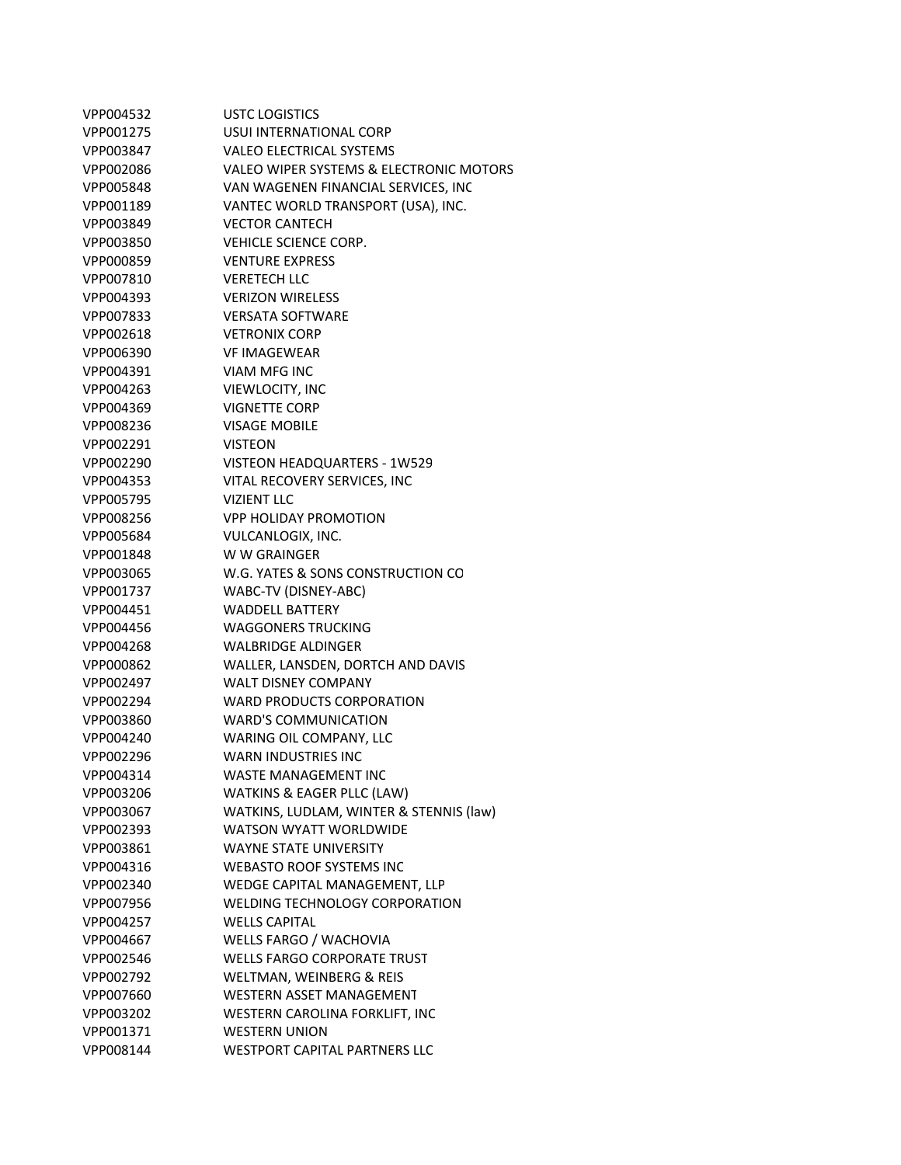| VPP004532 | <b>USTC LOGISTICS</b>                   |
|-----------|-----------------------------------------|
| VPP001275 | USUI INTERNATIONAL CORP                 |
| VPP003847 | <b>VALEO ELECTRICAL SYSTEMS</b>         |
| VPP002086 | VALEO WIPER SYSTEMS & ELECTRONIC MOTORS |
| VPP005848 | VAN WAGENEN FINANCIAL SERVICES, INC     |
| VPP001189 | VANTEC WORLD TRANSPORT (USA), INC.      |
| VPP003849 | <b>VECTOR CANTECH</b>                   |
| VPP003850 | VEHICLE SCIENCE CORP.                   |
| VPP000859 | <b>VENTURE EXPRESS</b>                  |
| VPP007810 | <b>VERETECH LLC</b>                     |
| VPP004393 | <b>VERIZON WIRELESS</b>                 |
| VPP007833 | <b>VERSATA SOFTWARE</b>                 |
| VPP002618 | <b>VETRONIX CORP</b>                    |
| VPP006390 | <b>VF IMAGEWEAR</b>                     |
| VPP004391 | VIAM MFG INC                            |
| VPP004263 | VIEWLOCITY, INC                         |
| VPP004369 | <b>VIGNETTE CORP</b>                    |
| VPP008236 | <b>VISAGE MOBILE</b>                    |
| VPP002291 | <b>VISTEON</b>                          |
| VPP002290 | VISTEON HEADQUARTERS - 1W529            |
| VPP004353 | VITAL RECOVERY SERVICES, INC            |
| VPP005795 | <b>VIZIENT LLC</b>                      |
| VPP008256 | <b>VPP HOLIDAY PROMOTION</b>            |
| VPP005684 | VULCANLOGIX, INC.                       |
| VPP001848 | W W GRAINGER                            |
| VPP003065 | W.G. YATES & SONS CONSTRUCTION CO       |
| VPP001737 | WABC-TV (DISNEY-ABC)                    |
| VPP004451 | <b>WADDELL BATTERY</b>                  |
| VPP004456 | <b>WAGGONERS TRUCKING</b>               |
| VPP004268 | <b>WALBRIDGE ALDINGER</b>               |
| VPP000862 | WALLER, LANSDEN, DORTCH AND DAVIS       |
| VPP002497 | <b>WALT DISNEY COMPANY</b>              |
| VPP002294 | WARD PRODUCTS CORPORATION               |
| VPP003860 | WARD'S COMMUNICATION                    |
| VPP004240 | WARING OIL COMPANY, LLC                 |
| VPP002296 | <b>WARN INDUSTRIES INC</b>              |
| VPP004314 | <b>WASTE MANAGEMENT INC</b>             |
| VPP003206 | <b>WATKINS &amp; EAGER PLLC (LAW)</b>   |
| VPP003067 | WATKINS, LUDLAM, WINTER & STENNIS (law) |
| VPP002393 | <b>WATSON WYATT WORLDWIDE</b>           |
| VPP003861 | <b>WAYNE STATE UNIVERSITY</b>           |
| VPP004316 | <b>WEBASTO ROOF SYSTEMS INC</b>         |
| VPP002340 | WEDGE CAPITAL MANAGEMENT, LLP           |
| VPP007956 | <b>WELDING TECHNOLOGY CORPORATION</b>   |
| VPP004257 | <b>WELLS CAPITAL</b>                    |
| VPP004667 | WELLS FARGO / WACHOVIA                  |
| VPP002546 | <b>WELLS FARGO CORPORATE TRUST</b>      |
| VPP002792 | WELTMAN, WEINBERG & REIS                |
| VPP007660 | WESTERN ASSET MANAGEMENT                |
| VPP003202 | WESTERN CAROLINA FORKLIFT, INC          |
| VPP001371 | <b>WESTERN UNION</b>                    |
| VPP008144 | <b>WESTPORT CAPITAL PARTNERS LLC</b>    |